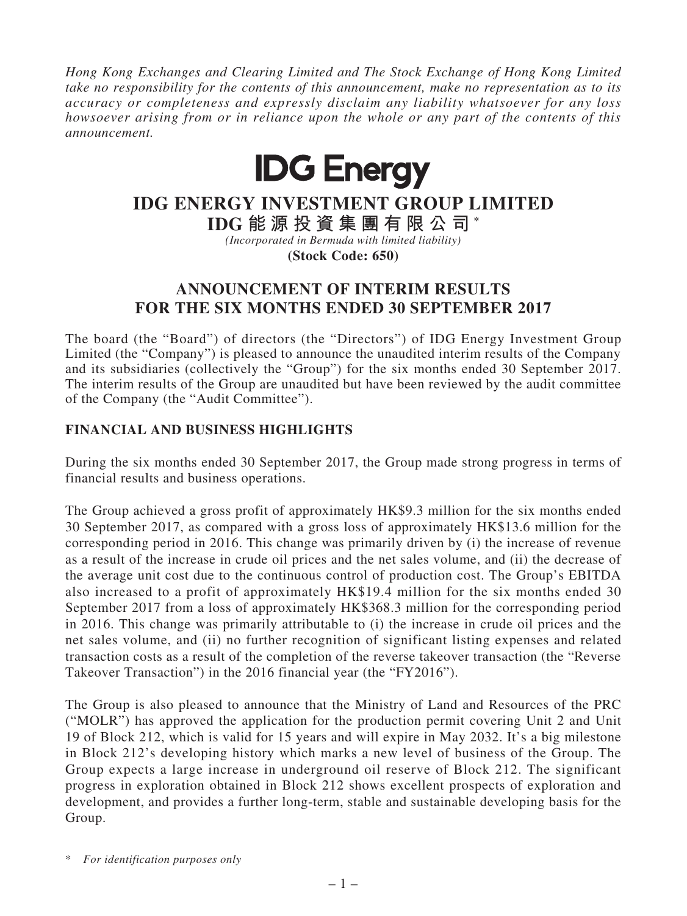*Hong Kong Exchanges and Clearing Limited and The Stock Exchange of Hong Kong Limited take no responsibility for the contents of this announcement, make no representation as to its accuracy or completeness and expressly disclaim any liability whatsoever for any loss howsoever arising from or in reliance upon the whole or any part of the contents of this announcement.*



# **IDG ENERGY INVESTMENT GROUP LIMITED**

**IDG 能 源 投 資 集 團 有 限 公 司 \***

*(Incorporated in Bermuda with limited liability)* **(Stock Code: 650)**

**ANNOUNCEMENT OF INTERIM RESULTS FOR THE SIX MONTHS ENDED 30 SEPTEMBER 2017**

The board (the "Board") of directors (the "Directors") of IDG Energy Investment Group Limited (the "Company") is pleased to announce the unaudited interim results of the Company and its subsidiaries (collectively the "Group") for the six months ended 30 September 2017. The interim results of the Group are unaudited but have been reviewed by the audit committee of the Company (the "Audit Committee").

# **FINANCIAL AND BUSINESS HIGHLIGHTS**

During the six months ended 30 September 2017, the Group made strong progress in terms of financial results and business operations.

The Group achieved a gross profit of approximately HK\$9.3 million for the six months ended 30 September 2017, as compared with a gross loss of approximately HK\$13.6 million for the corresponding period in 2016. This change was primarily driven by (i) the increase of revenue as a result of the increase in crude oil prices and the net sales volume, and (ii) the decrease of the average unit cost due to the continuous control of production cost. The Group's EBITDA also increased to a profit of approximately HK\$19.4 million for the six months ended 30 September 2017 from a loss of approximately HK\$368.3 million for the corresponding period in 2016. This change was primarily attributable to (i) the increase in crude oil prices and the net sales volume, and (ii) no further recognition of significant listing expenses and related transaction costs as a result of the completion of the reverse takeover transaction (the "Reverse Takeover Transaction") in the 2016 financial year (the "FY2016").

The Group is also pleased to announce that the Ministry of Land and Resources of the PRC ("MOLR") has approved the application for the production permit covering Unit 2 and Unit 19 of Block 212, which is valid for 15 years and will expire in May 2032. It's a big milestone in Block 212's developing history which marks a new level of business of the Group. The Group expects a large increase in underground oil reserve of Block 212. The significant progress in exploration obtained in Block 212 shows excellent prospects of exploration and development, and provides a further long-term, stable and sustainable developing basis for the Group.

\* *For identification purposes only*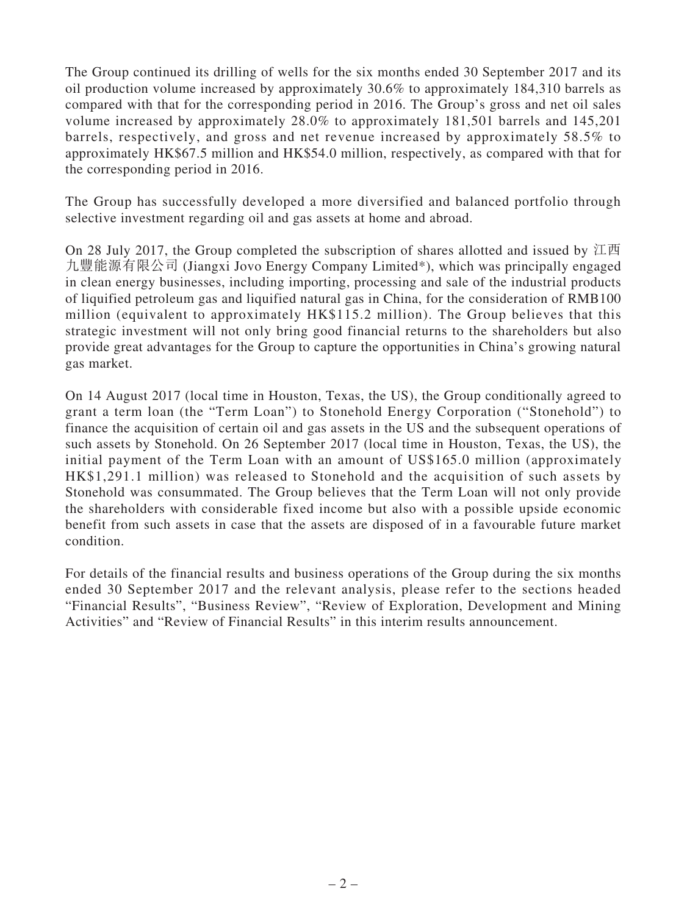The Group continued its drilling of wells for the six months ended 30 September 2017 and its oil production volume increased by approximately 30.6% to approximately 184,310 barrels as compared with that for the corresponding period in 2016. The Group's gross and net oil sales volume increased by approximately 28.0% to approximately 181,501 barrels and 145,201 barrels, respectively, and gross and net revenue increased by approximately 58.5% to approximately HK\$67.5 million and HK\$54.0 million, respectively, as compared with that for the corresponding period in 2016.

The Group has successfully developed a more diversified and balanced portfolio through selective investment regarding oil and gas assets at home and abroad.

On 28 July 2017, the Group completed the subscription of shares allotted and issued by 江西 九豐能源有限公司 (Jiangxi Jovo Energy Company Limited\*), which was principally engaged in clean energy businesses, including importing, processing and sale of the industrial products of liquified petroleum gas and liquified natural gas in China, for the consideration of RMB100 million (equivalent to approximately HK\$115.2 million). The Group believes that this strategic investment will not only bring good financial returns to the shareholders but also provide great advantages for the Group to capture the opportunities in China's growing natural gas market.

On 14 August 2017 (local time in Houston, Texas, the US), the Group conditionally agreed to grant a term loan (the "Term Loan") to Stonehold Energy Corporation ("Stonehold") to finance the acquisition of certain oil and gas assets in the US and the subsequent operations of such assets by Stonehold. On 26 September 2017 (local time in Houston, Texas, the US), the initial payment of the Term Loan with an amount of US\$165.0 million (approximately HK\$1,291.1 million) was released to Stonehold and the acquisition of such assets by Stonehold was consummated. The Group believes that the Term Loan will not only provide the shareholders with considerable fixed income but also with a possible upside economic benefit from such assets in case that the assets are disposed of in a favourable future market condition.

For details of the financial results and business operations of the Group during the six months ended 30 September 2017 and the relevant analysis, please refer to the sections headed "Financial Results", "Business Review", "Review of Exploration, Development and Mining Activities" and "Review of Financial Results" in this interim results announcement.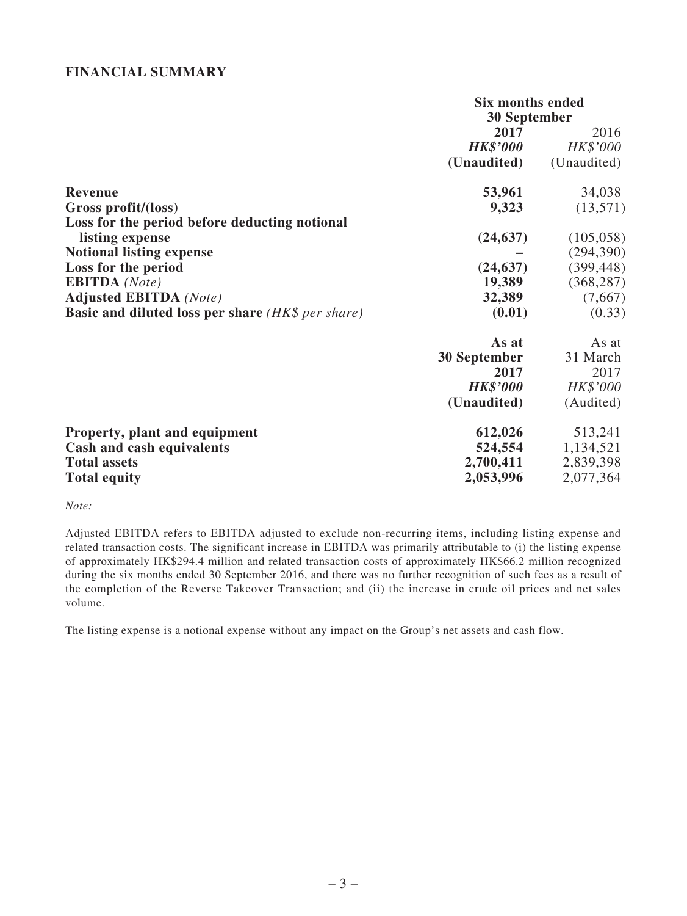### **FINANCIAL SUMMARY**

|                                                          | <b>Six months ended</b> |             |
|----------------------------------------------------------|-------------------------|-------------|
|                                                          | 30 September            |             |
|                                                          | 2017                    | 2016        |
|                                                          | <b>HK\$'000</b>         | HK\$'000    |
|                                                          | (Unaudited)             | (Unaudited) |
| <b>Revenue</b>                                           | 53,961                  | 34,038      |
| Gross profit/(loss)                                      | 9,323                   | (13,571)    |
| Loss for the period before deducting notional            |                         |             |
| listing expense                                          | (24, 637)               | (105, 058)  |
| <b>Notional listing expense</b>                          |                         | (294, 390)  |
| Loss for the period                                      | (24, 637)               | (399, 448)  |
| <b>EBITDA</b> (Note)                                     | 19,389                  | (368, 287)  |
| <b>Adjusted EBITDA</b> (Note)                            | 32,389                  | (7,667)     |
| <b>Basic and diluted loss per share (HK\$ per share)</b> | (0.01)                  | (0.33)      |
|                                                          | As at                   | As at       |
|                                                          | <b>30 September</b>     | 31 March    |
|                                                          | 2017                    | 2017        |
|                                                          | <b>HK\$'000</b>         | HK\$'000    |
|                                                          | (Unaudited)             | (Audited)   |
| Property, plant and equipment                            | 612,026                 | 513,241     |
| Cash and cash equivalents                                | 524,554                 | 1,134,521   |
| <b>Total assets</b>                                      | 2,700,411               | 2,839,398   |
| <b>Total equity</b>                                      | 2,053,996               | 2,077,364   |

#### *Note:*

Adjusted EBITDA refers to EBITDA adjusted to exclude non-recurring items, including listing expense and related transaction costs. The significant increase in EBITDA was primarily attributable to (i) the listing expense of approximately HK\$294.4 million and related transaction costs of approximately HK\$66.2 million recognized during the six months ended 30 September 2016, and there was no further recognition of such fees as a result of the completion of the Reverse Takeover Transaction; and (ii) the increase in crude oil prices and net sales volume.

The listing expense is a notional expense without any impact on the Group's net assets and cash flow.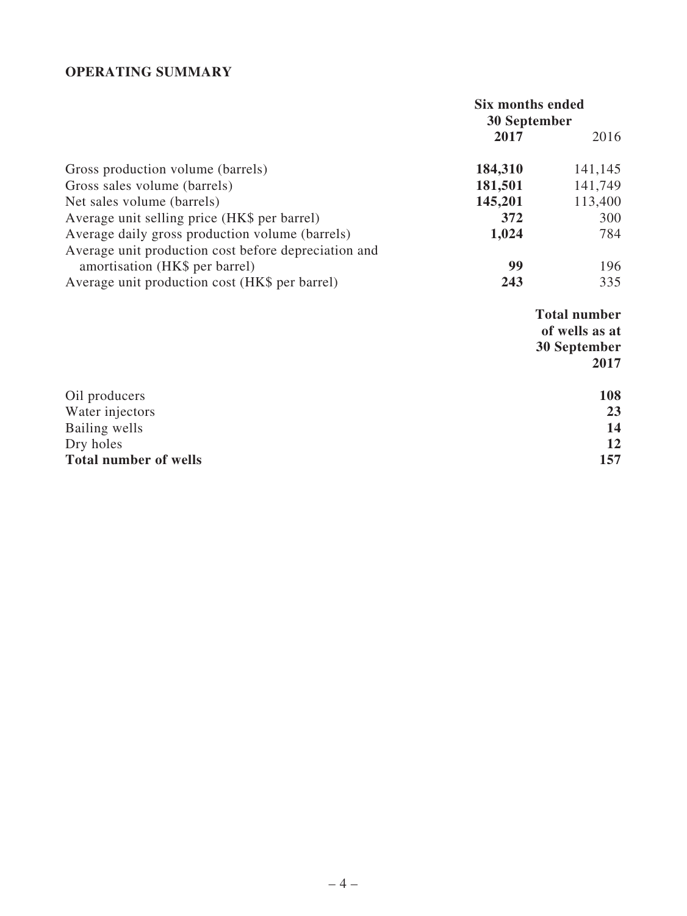# **OPERATING SUMMARY**

|                                                      | Six months ended<br><b>30 September</b> |         |
|------------------------------------------------------|-----------------------------------------|---------|
|                                                      |                                         |         |
|                                                      | 2017                                    | 2016    |
| Gross production volume (barrels)                    | 184,310                                 | 141,145 |
| Gross sales volume (barrels)                         | 181,501                                 | 141,749 |
| Net sales volume (barrels)                           | 145,201                                 | 113,400 |
| Average unit selling price (HK\$ per barrel)         | 372                                     | 300     |
| Average daily gross production volume (barrels)      | 1,024                                   | 784     |
| Average unit production cost before depreciation and |                                         |         |
| amortisation (HK\$ per barrel)                       | 99                                      | 196     |
| Average unit production cost (HK\$ per barrel)       | 243                                     | 335     |

**Total number of wells as at 30 September 2017**

| Oil producers                | 108 |
|------------------------------|-----|
| Water injectors              | 23  |
| Bailing wells                | 14  |
| Dry holes                    | 12  |
| <b>Total number of wells</b> | 157 |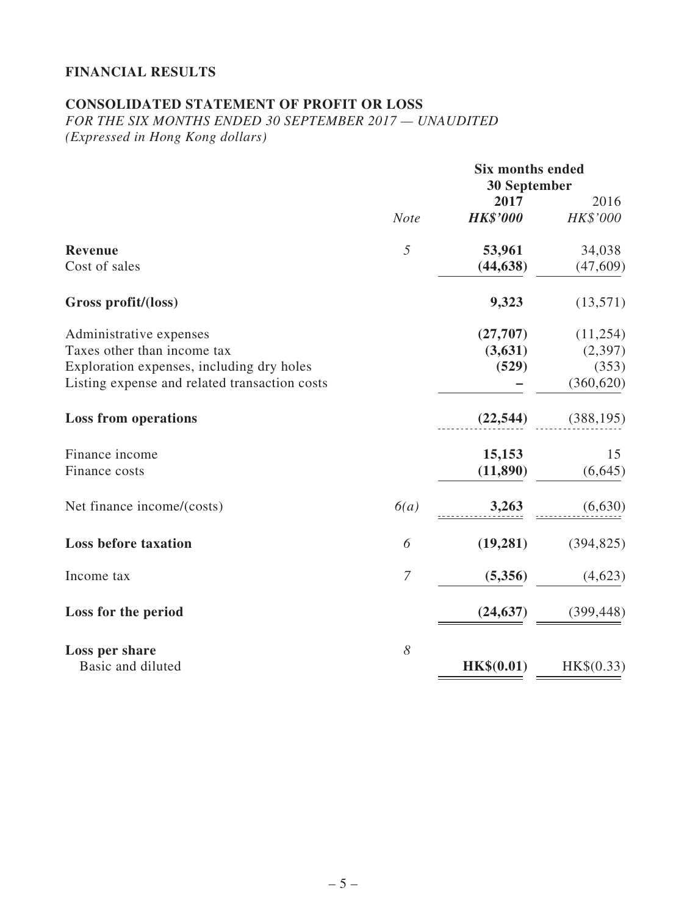# **FINANCIAL RESULTS**

# **CONSOLIDATED STATEMENT OF PROFIT OR LOSS**

*FOR THE SIX MONTHS ENDED 30 SEPTEMBER 2017 — UNAUDITED (Expressed in Hong Kong dollars)*

|                                               |             | <b>Six months ended</b><br><b>30 September</b> |            |
|-----------------------------------------------|-------------|------------------------------------------------|------------|
|                                               |             | 2017                                           | 2016       |
|                                               | <b>Note</b> | <b>HK\$'000</b>                                | HK\$'000   |
| <b>Revenue</b>                                | 5           | 53,961                                         | 34,038     |
| Cost of sales                                 |             | (44, 638)                                      | (47, 609)  |
| Gross profit/(loss)                           |             | 9,323                                          | (13,571)   |
| Administrative expenses                       |             | (27,707)                                       | (11,254)   |
| Taxes other than income tax                   |             | (3,631)                                        | (2,397)    |
| Exploration expenses, including dry holes     |             | (529)                                          | (353)      |
| Listing expense and related transaction costs |             |                                                | (360, 620) |
| <b>Loss from operations</b>                   |             | (22, 544)                                      | (388, 195) |
| Finance income                                |             | 15,153                                         | 15         |
| Finance costs                                 |             | (11, 890)                                      | (6, 645)   |
| Net finance income/(costs)                    | 6(a)        | 3,263                                          | (6,630)    |
| <b>Loss before taxation</b>                   | 6           | (19, 281)                                      | (394, 825) |
| Income tax                                    | 7           | (5,356)                                        | (4,623)    |
| Loss for the period                           |             | (24, 637)                                      | (399, 448) |
| Loss per share<br>Basic and diluted           | 8           |                                                |            |
|                                               |             | HK\$(0.01)                                     | HK\$(0.33) |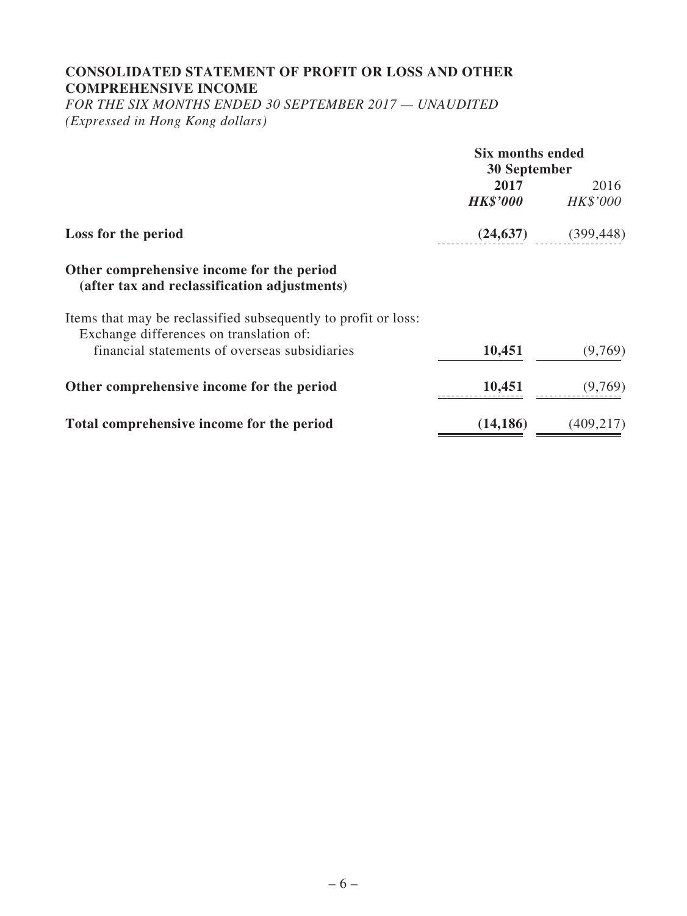# **CONSOLIDATED STATEMENT OF PROFIT OR LOSS AND OTHER COMPREHENSIVE INCOME**

*FOR THE SIX MONTHS ENDED 30 SEPTEMBER 2017 — UNAUDITED (Expressed in Hong Kong dollars)*

|                                                                                                           | Six months ended |            |
|-----------------------------------------------------------------------------------------------------------|------------------|------------|
|                                                                                                           | 30 September     |            |
|                                                                                                           | 2017             | 2016       |
|                                                                                                           | <b>HK\$'000</b>  | HK\$'000   |
| Loss for the period                                                                                       | (24, 637)        | (399, 448) |
| Other comprehensive income for the period<br>(after tax and reclassification adjustments)                 |                  |            |
| Items that may be reclassified subsequently to profit or loss:<br>Exchange differences on translation of: |                  |            |
| financial statements of overseas subsidiaries                                                             | 10,451           | (9,769)    |
| Other comprehensive income for the period                                                                 | 10,451           | (9,769)    |
| Total comprehensive income for the period                                                                 | (14, 186)        | (409, 217) |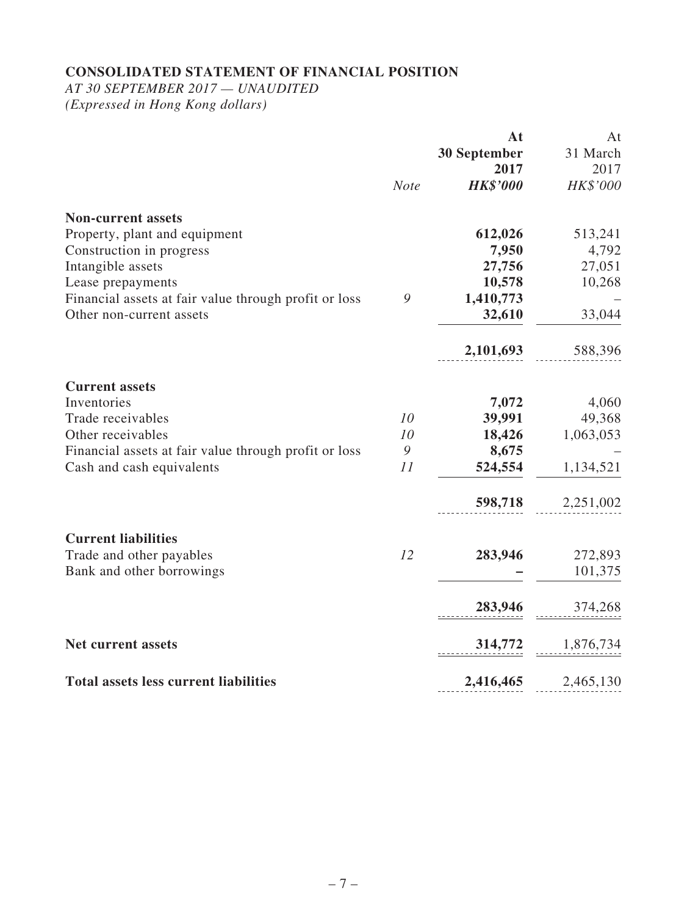# **CONSOLIDATED STATEMENT OF FINANCIAL POSITION**

*AT 30 SEPTEMBER 2017 — UNAUDITED*

*(Expressed in Hong Kong dollars)*

|                                                       |             | At                  | At        |
|-------------------------------------------------------|-------------|---------------------|-----------|
|                                                       |             | <b>30 September</b> | 31 March  |
|                                                       |             | 2017                | 2017      |
|                                                       | <b>Note</b> | <b>HK\$'000</b>     | HK\$'000  |
| <b>Non-current assets</b>                             |             |                     |           |
| Property, plant and equipment                         |             | 612,026             | 513,241   |
| Construction in progress                              |             | 7,950               | 4,792     |
| Intangible assets                                     |             | 27,756              | 27,051    |
| Lease prepayments                                     |             | 10,578              | 10,268    |
| Financial assets at fair value through profit or loss | 9           | 1,410,773           |           |
| Other non-current assets                              |             | 32,610              | 33,044    |
|                                                       |             |                     |           |
|                                                       |             | 2,101,693           | 588,396   |
| <b>Current assets</b>                                 |             |                     |           |
| Inventories                                           |             | 7,072               | 4,060     |
| Trade receivables                                     | 10          | 39,991              | 49,368    |
| Other receivables                                     | 10          | 18,426              | 1,063,053 |
| Financial assets at fair value through profit or loss | 9           | 8,675               |           |
| Cash and cash equivalents                             | 11          | 524,554             | 1,134,521 |
|                                                       |             |                     | 2,251,002 |
|                                                       |             | 598,718             |           |
| <b>Current liabilities</b>                            |             |                     |           |
| Trade and other payables                              | 12          | 283,946             | 272,893   |
| Bank and other borrowings                             |             |                     | 101,375   |
|                                                       |             | 283,946             | 374,268   |
| <b>Net current assets</b>                             |             | 314,772             | 1,876,734 |
|                                                       |             |                     |           |
| <b>Total assets less current liabilities</b>          |             | 2,416,465           | 2,465,130 |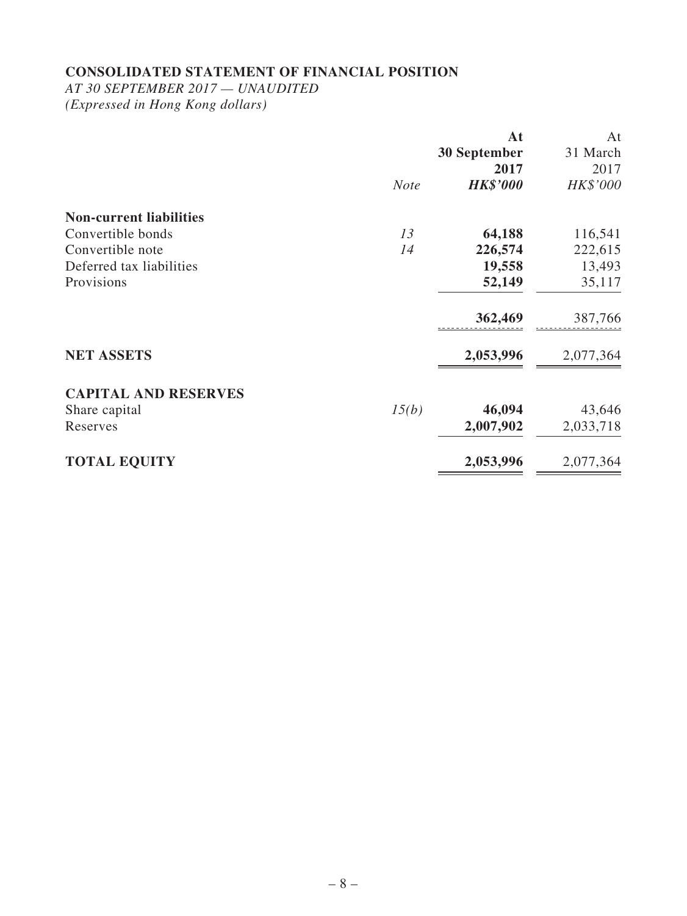### **CONSOLIDATED STATEMENT OF FINANCIAL POSITION**

*AT 30 SEPTEMBER 2017 — UNAUDITED (Expressed in Hong Kong dollars)*

**At 30 September 2017** At 31 March 2017 *Note HK\$'000 HK\$'000* **Non-current liabilities** Convertible bonds *13* **64,188** 116,541 Convertible note *14* **226,574** 222,615 Deferred tax liabilities **19,558** 13,493 Provisions **52,149** 35,117 **362,469** 387,766 **NET ASSETS** 2,053,996 2,077,364 **CAPITAL AND RESERVES** Share capital *15(b)* **46,094** 43,646 Reserves **2,007,902** 2,033,718 **TOTAL EQUITY 2,053,996** 2,077,364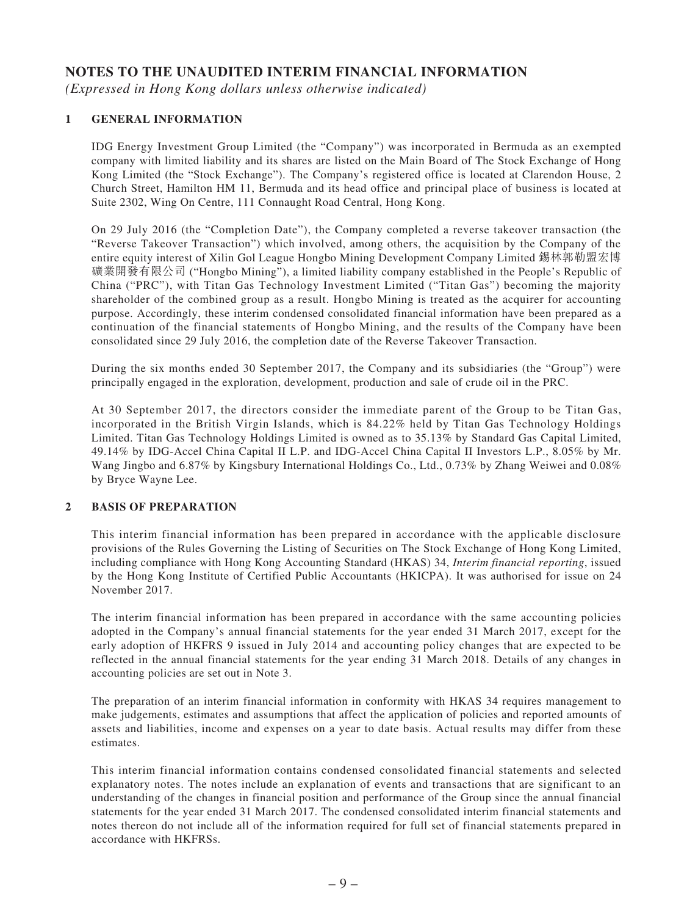## **NOTES TO THE UNAUDITED INTERIM FINANCIAL INFORMATION**

*(Expressed in Hong Kong dollars unless otherwise indicated)*

#### **1 GENERAL INFORMATION**

IDG Energy Investment Group Limited (the "Company") was incorporated in Bermuda as an exempted company with limited liability and its shares are listed on the Main Board of The Stock Exchange of Hong Kong Limited (the "Stock Exchange"). The Company's registered office is located at Clarendon House, 2 Church Street, Hamilton HM 11, Bermuda and its head office and principal place of business is located at Suite 2302, Wing On Centre, 111 Connaught Road Central, Hong Kong.

On 29 July 2016 (the "Completion Date"), the Company completed a reverse takeover transaction (the "Reverse Takeover Transaction") which involved, among others, the acquisition by the Company of the entire equity interest of Xilin Gol League Hongbo Mining Development Company Limited 錫林郭勒盟宏博 礦業開發有限公司 ("Hongbo Mining"), a limited liability company established in the People's Republic of China ("PRC"), with Titan Gas Technology Investment Limited ("Titan Gas") becoming the majority shareholder of the combined group as a result. Hongbo Mining is treated as the acquirer for accounting purpose. Accordingly, these interim condensed consolidated financial information have been prepared as a continuation of the financial statements of Hongbo Mining, and the results of the Company have been consolidated since 29 July 2016, the completion date of the Reverse Takeover Transaction.

During the six months ended 30 September 2017, the Company and its subsidiaries (the "Group") were principally engaged in the exploration, development, production and sale of crude oil in the PRC.

At 30 September 2017, the directors consider the immediate parent of the Group to be Titan Gas, incorporated in the British Virgin Islands, which is 84.22% held by Titan Gas Technology Holdings Limited. Titan Gas Technology Holdings Limited is owned as to 35.13% by Standard Gas Capital Limited, 49.14% by IDG-Accel China Capital II L.P. and IDG-Accel China Capital II Investors L.P., 8.05% by Mr. Wang Jingbo and 6.87% by Kingsbury International Holdings Co., Ltd., 0.73% by Zhang Weiwei and 0.08% by Bryce Wayne Lee.

#### **2 BASIS OF PREPARATION**

This interim financial information has been prepared in accordance with the applicable disclosure provisions of the Rules Governing the Listing of Securities on The Stock Exchange of Hong Kong Limited, including compliance with Hong Kong Accounting Standard (HKAS) 34, *Interim financial reporting*, issued by the Hong Kong Institute of Certified Public Accountants (HKICPA). It was authorised for issue on 24 November 2017.

The interim financial information has been prepared in accordance with the same accounting policies adopted in the Company's annual financial statements for the year ended 31 March 2017, except for the early adoption of HKFRS 9 issued in July 2014 and accounting policy changes that are expected to be reflected in the annual financial statements for the year ending 31 March 2018. Details of any changes in accounting policies are set out in Note 3.

The preparation of an interim financial information in conformity with HKAS 34 requires management to make judgements, estimates and assumptions that affect the application of policies and reported amounts of assets and liabilities, income and expenses on a year to date basis. Actual results may differ from these estimates.

This interim financial information contains condensed consolidated financial statements and selected explanatory notes. The notes include an explanation of events and transactions that are significant to an understanding of the changes in financial position and performance of the Group since the annual financial statements for the year ended 31 March 2017. The condensed consolidated interim financial statements and notes thereon do not include all of the information required for full set of financial statements prepared in accordance with HKFRSs.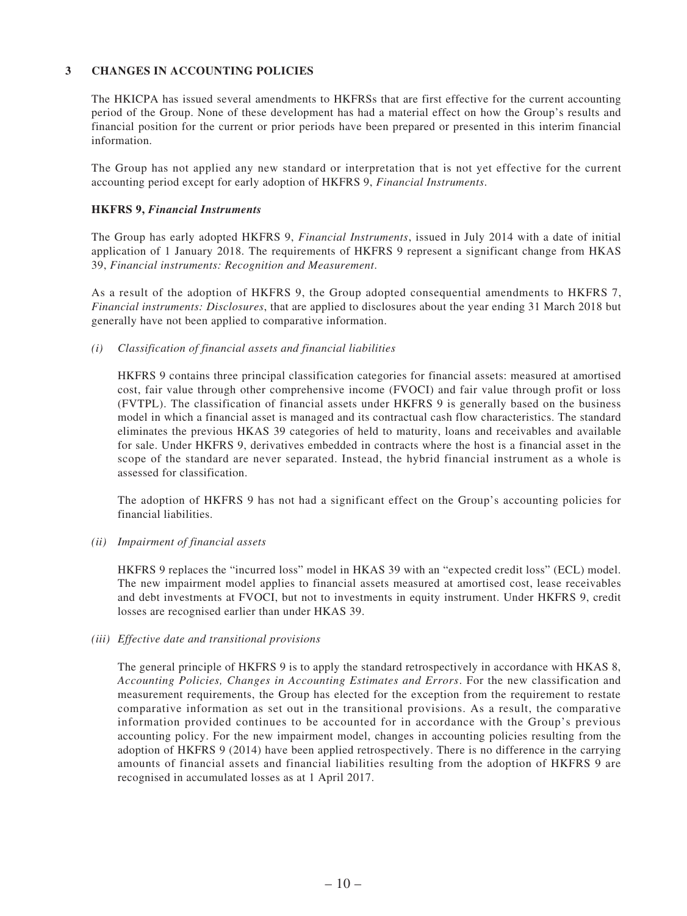#### **3 CHANGES IN ACCOUNTING POLICIES**

The HKICPA has issued several amendments to HKFRSs that are first effective for the current accounting period of the Group. None of these development has had a material effect on how the Group's results and financial position for the current or prior periods have been prepared or presented in this interim financial information.

The Group has not applied any new standard or interpretation that is not yet effective for the current accounting period except for early adoption of HKFRS 9, *Financial Instruments*.

#### **HKFRS 9,** *Financial Instruments*

The Group has early adopted HKFRS 9, *Financial Instruments*, issued in July 2014 with a date of initial application of 1 January 2018. The requirements of HKFRS 9 represent a significant change from HKAS 39, *Financial instruments: Recognition and Measurement*.

As a result of the adoption of HKFRS 9, the Group adopted consequential amendments to HKFRS 7, *Financial instruments: Disclosures*, that are applied to disclosures about the year ending 31 March 2018 but generally have not been applied to comparative information.

#### *(i) Classification of financial assets and financial liabilities*

HKFRS 9 contains three principal classification categories for financial assets: measured at amortised cost, fair value through other comprehensive income (FVOCI) and fair value through profit or loss (FVTPL). The classification of financial assets under HKFRS 9 is generally based on the business model in which a financial asset is managed and its contractual cash flow characteristics. The standard eliminates the previous HKAS 39 categories of held to maturity, loans and receivables and available for sale. Under HKFRS 9, derivatives embedded in contracts where the host is a financial asset in the scope of the standard are never separated. Instead, the hybrid financial instrument as a whole is assessed for classification.

The adoption of HKFRS 9 has not had a significant effect on the Group's accounting policies for financial liabilities.

#### *(ii) Impairment of financial assets*

HKFRS 9 replaces the "incurred loss" model in HKAS 39 with an "expected credit loss" (ECL) model. The new impairment model applies to financial assets measured at amortised cost, lease receivables and debt investments at FVOCI, but not to investments in equity instrument. Under HKFRS 9, credit losses are recognised earlier than under HKAS 39.

#### *(iii) Effective date and transitional provisions*

The general principle of HKFRS 9 is to apply the standard retrospectively in accordance with HKAS 8, *Accounting Policies, Changes in Accounting Estimates and Errors*. For the new classification and measurement requirements, the Group has elected for the exception from the requirement to restate comparative information as set out in the transitional provisions. As a result, the comparative information provided continues to be accounted for in accordance with the Group's previous accounting policy. For the new impairment model, changes in accounting policies resulting from the adoption of HKFRS 9 (2014) have been applied retrospectively. There is no difference in the carrying amounts of financial assets and financial liabilities resulting from the adoption of HKFRS 9 are recognised in accumulated losses as at 1 April 2017.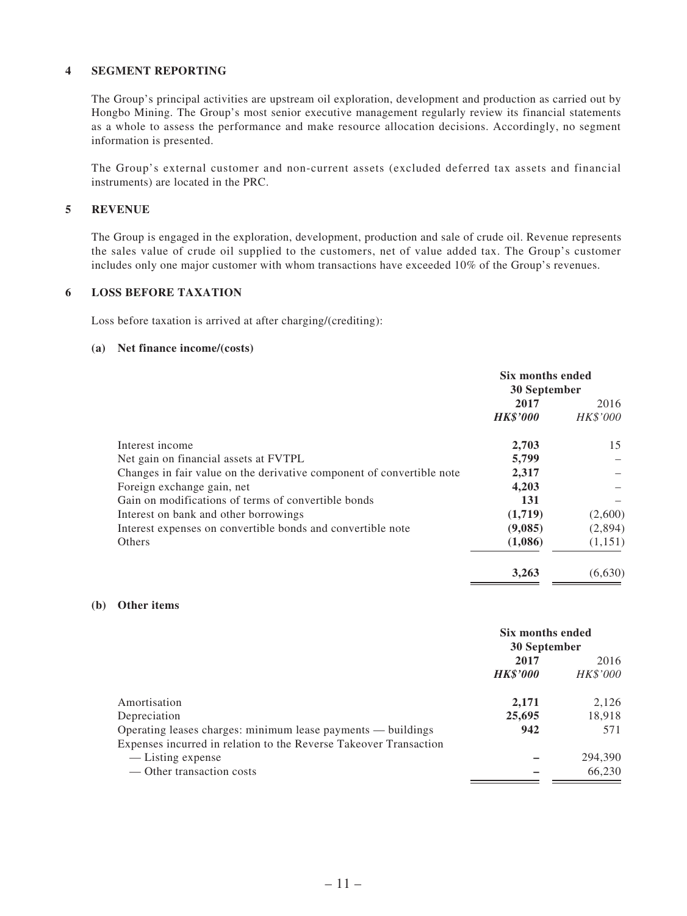#### **4 SEGMENT REPORTING**

The Group's principal activities are upstream oil exploration, development and production as carried out by Hongbo Mining. The Group's most senior executive management regularly review its financial statements as a whole to assess the performance and make resource allocation decisions. Accordingly, no segment information is presented.

The Group's external customer and non-current assets (excluded deferred tax assets and financial instruments) are located in the PRC.

#### **5 REVENUE**

The Group is engaged in the exploration, development, production and sale of crude oil. Revenue represents the sales value of crude oil supplied to the customers, net of value added tax. The Group's customer includes only one major customer with whom transactions have exceeded 10% of the Group's revenues.

#### **6 LOSS BEFORE TAXATION**

Loss before taxation is arrived at after charging/(crediting):

#### **(a) Net finance income/(costs)**

|                                                                       | Six months ended<br>30 September |          |
|-----------------------------------------------------------------------|----------------------------------|----------|
|                                                                       | 2017                             | 2016     |
|                                                                       | <b>HK\$'000</b>                  | HK\$'000 |
| Interest income                                                       | 2,703                            | 15       |
| Net gain on financial assets at FVTPL                                 | 5,799                            |          |
| Changes in fair value on the derivative component of convertible note | 2,317                            |          |
| Foreign exchange gain, net                                            | 4,203                            |          |
| Gain on modifications of terms of convertible bonds                   | 131                              |          |
| Interest on bank and other borrowings                                 | (1,719)                          | (2,600)  |
| Interest expenses on convertible bonds and convertible note           | (9,085)                          | (2,894)  |
| <b>Others</b>                                                         | (1,086)                          | (1,151)  |
|                                                                       | 3.263                            | (6.630)  |

#### **(b) Other items**

|                                                                   | Six months ended<br>30 September |                 |
|-------------------------------------------------------------------|----------------------------------|-----------------|
|                                                                   | 2017                             | 2016            |
|                                                                   | <b>HK\$'000</b>                  | <i>HK\$'000</i> |
| Amortisation                                                      | 2.171                            | 2,126           |
| Depreciation                                                      | 25,695                           | 18,918          |
| Operating leases charges: minimum lease payments — buildings      | 942                              | 571             |
| Expenses incurred in relation to the Reverse Takeover Transaction |                                  |                 |
| — Listing expense                                                 |                                  | 294,390         |
| — Other transaction costs                                         |                                  | 66,230          |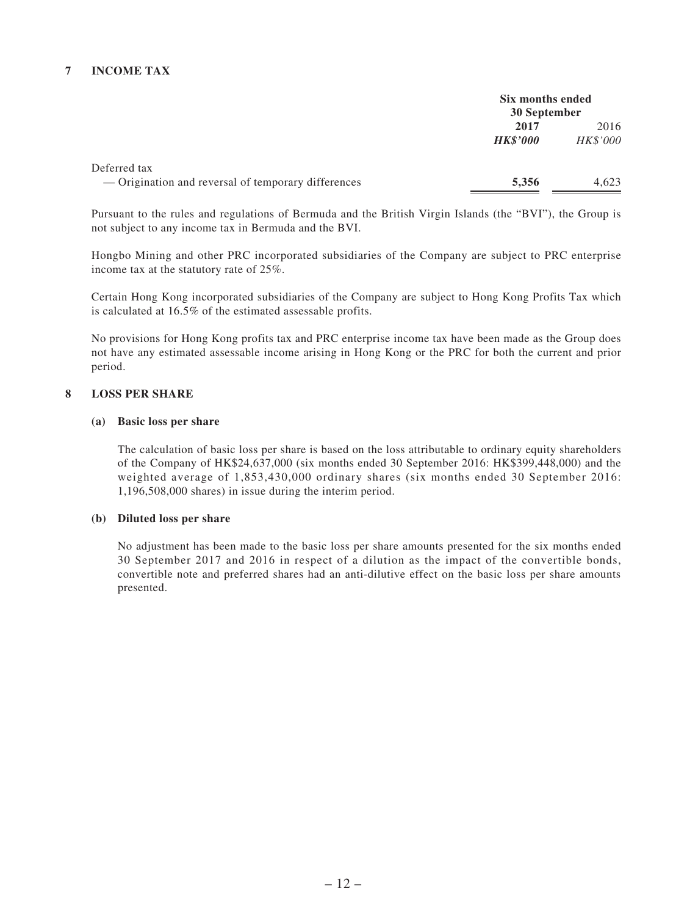#### **7 INCOME TAX**

|                                                     | Six months ended<br>30 September |          |
|-----------------------------------------------------|----------------------------------|----------|
|                                                     | 2017                             | 2016     |
|                                                     | <b>HK\$'000</b>                  | HK\$'000 |
| Deferred tax                                        |                                  |          |
| — Origination and reversal of temporary differences | 5,356                            | 4.623    |

Pursuant to the rules and regulations of Bermuda and the British Virgin Islands (the "BVI"), the Group is not subject to any income tax in Bermuda and the BVI.

Hongbo Mining and other PRC incorporated subsidiaries of the Company are subject to PRC enterprise income tax at the statutory rate of 25%.

Certain Hong Kong incorporated subsidiaries of the Company are subject to Hong Kong Profits Tax which is calculated at 16.5% of the estimated assessable profits.

No provisions for Hong Kong profits tax and PRC enterprise income tax have been made as the Group does not have any estimated assessable income arising in Hong Kong or the PRC for both the current and prior period.

#### **8 LOSS PER SHARE**

#### **(a) Basic loss per share**

The calculation of basic loss per share is based on the loss attributable to ordinary equity shareholders of the Company of HK\$24,637,000 (six months ended 30 September 2016: HK\$399,448,000) and the weighted average of 1,853,430,000 ordinary shares (six months ended 30 September 2016: 1,196,508,000 shares) in issue during the interim period.

#### **(b) Diluted loss per share**

No adjustment has been made to the basic loss per share amounts presented for the six months ended 30 September 2017 and 2016 in respect of a dilution as the impact of the convertible bonds, convertible note and preferred shares had an anti-dilutive effect on the basic loss per share amounts presented.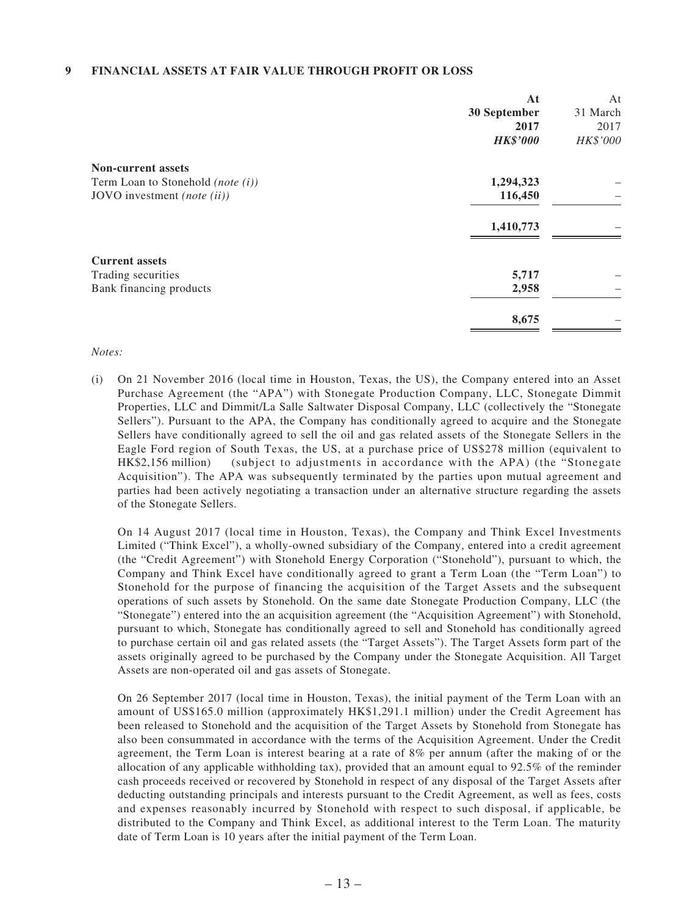#### **9 FINANCIAL ASSETS AT FAIR VALUE THROUGH PROFIT OR LOSS**

|                                      | At              | At       |
|--------------------------------------|-----------------|----------|
|                                      | 30 September    | 31 March |
|                                      | 2017            | 2017     |
|                                      | <b>HK\$'000</b> | HK\$'000 |
| <b>Non-current assets</b>            |                 |          |
| Term Loan to Stonehold (note $(i)$ ) | 1,294,323       |          |
| JOVO investment (note (ii))          | 116,450         |          |
|                                      | 1,410,773       |          |
| <b>Current assets</b>                |                 |          |
| Trading securities                   | 5,717           |          |
| Bank financing products              | 2,958           |          |
|                                      | 8,675           |          |

#### *Notes:*

(i) On 21 November 2016 (local time in Houston, Texas, the US), the Company entered into an Asset Purchase Agreement (the "APA") with Stonegate Production Company, LLC, Stonegate Dimmit Properties, LLC and Dimmit/La Salle Saltwater Disposal Company, LLC (collectively the "Stonegate Sellers"). Pursuant to the APA, the Company has conditionally agreed to acquire and the Stonegate Sellers have conditionally agreed to sell the oil and gas related assets of the Stonegate Sellers in the Eagle Ford region of South Texas, the US, at a purchase price of US\$278 million (equivalent to HK\$2,156 million) (subject to adjustments in accordance with the APA) (the "Stonegate Acquisition"). The APA was subsequently terminated by the parties upon mutual agreement and parties had been actively negotiating a transaction under an alternative structure regarding the assets of the Stonegate Sellers.

On 14 August 2017 (local time in Houston, Texas), the Company and Think Excel Investments Limited ("Think Excel"), a wholly-owned subsidiary of the Company, entered into a credit agreement (the "Credit Agreement") with Stonehold Energy Corporation ("Stonehold"), pursuant to which, the Company and Think Excel have conditionally agreed to grant a Term Loan (the "Term Loan") to Stonehold for the purpose of financing the acquisition of the Target Assets and the subsequent operations of such assets by Stonehold. On the same date Stonegate Production Company, LLC (the "Stonegate") entered into the an acquisition agreement (the "Acquisition Agreement") with Stonehold, pursuant to which, Stonegate has conditionally agreed to sell and Stonehold has conditionally agreed to purchase certain oil and gas related assets (the "Target Assets"). The Target Assets form part of the assets originally agreed to be purchased by the Company under the Stonegate Acquisition. All Target Assets are non-operated oil and gas assets of Stonegate.

On 26 September 2017 (local time in Houston, Texas), the initial payment of the Term Loan with an amount of US\$165.0 million (approximately HK\$1,291.1 million) under the Credit Agreement has been released to Stonehold and the acquisition of the Target Assets by Stonehold from Stonegate has also been consummated in accordance with the terms of the Acquisition Agreement. Under the Credit agreement, the Term Loan is interest bearing at a rate of 8% per annum (after the making of or the allocation of any applicable withholding tax), provided that an amount equal to 92.5% of the reminder cash proceeds received or recovered by Stonehold in respect of any disposal of the Target Assets after deducting outstanding principals and interests pursuant to the Credit Agreement, as well as fees, costs and expenses reasonably incurred by Stonehold with respect to such disposal, if applicable, be distributed to the Company and Think Excel, as additional interest to the Term Loan. The maturity date of Term Loan is 10 years after the initial payment of the Term Loan.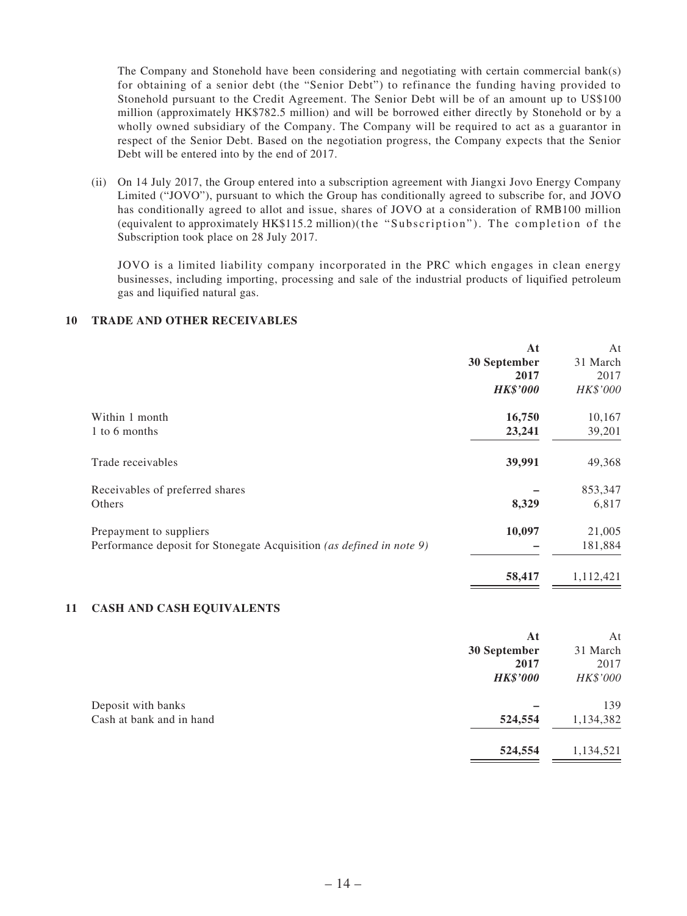The Company and Stonehold have been considering and negotiating with certain commercial bank(s) for obtaining of a senior debt (the "Senior Debt") to refinance the funding having provided to Stonehold pursuant to the Credit Agreement. The Senior Debt will be of an amount up to US\$100 million (approximately HK\$782.5 million) and will be borrowed either directly by Stonehold or by a wholly owned subsidiary of the Company. The Company will be required to act as a guarantor in respect of the Senior Debt. Based on the negotiation progress, the Company expects that the Senior Debt will be entered into by the end of 2017.

(ii) On 14 July 2017, the Group entered into a subscription agreement with Jiangxi Jovo Energy Company Limited ("JOVO"), pursuant to which the Group has conditionally agreed to subscribe for, and JOVO has conditionally agreed to allot and issue, shares of JOVO at a consideration of RMB100 million (equivalent to approximately HK\$115.2 million)(the "Subscription"). The completion of the Subscription took place on 28 July 2017.

JOVO is a limited liability company incorporated in the PRC which engages in clean energy businesses, including importing, processing and sale of the industrial products of liquified petroleum gas and liquified natural gas.

#### **10 TRADE AND OTHER RECEIVABLES**

|                                                                      | At              | At        |
|----------------------------------------------------------------------|-----------------|-----------|
|                                                                      | 30 September    | 31 March  |
|                                                                      | 2017            | 2017      |
|                                                                      | <b>HK\$'000</b> | HK\$'000  |
| Within 1 month                                                       | 16,750          | 10,167    |
| 1 to 6 months                                                        | 23,241          | 39,201    |
| Trade receivables                                                    | 39,991          | 49,368    |
| Receivables of preferred shares                                      |                 | 853,347   |
| Others                                                               | 8,329           | 6,817     |
| Prepayment to suppliers                                              | 10,097          | 21,005    |
| Performance deposit for Stonegate Acquisition (as defined in note 9) |                 | 181,884   |
|                                                                      | 58,417          | 1,112,421 |

#### **11 CASH AND CASH EQUIVALENTS**

|                          | At              | At        |
|--------------------------|-----------------|-----------|
|                          | 30 September    | 31 March  |
|                          | 2017            | 2017      |
|                          | <b>HK\$'000</b> | HK\$'000  |
| Deposit with banks       |                 | 139       |
| Cash at bank and in hand | 524,554         | 1,134,382 |
|                          | 524,554         | 1,134,521 |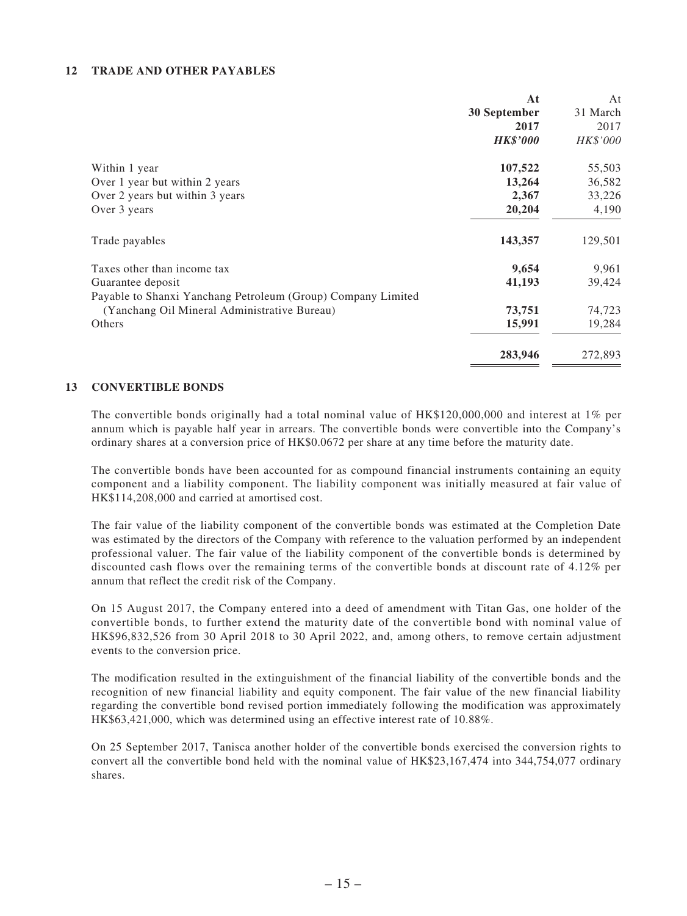#### **12 TRADE AND OTHER PAYABLES**

|                                                              | At              | At       |
|--------------------------------------------------------------|-----------------|----------|
|                                                              | 30 September    | 31 March |
|                                                              | 2017            | 2017     |
|                                                              | <b>HK\$'000</b> | HK\$'000 |
| Within 1 year                                                | 107,522         | 55,503   |
| Over 1 year but within 2 years                               | 13,264          | 36,582   |
| Over 2 years but within 3 years                              | 2,367           | 33,226   |
| Over 3 years                                                 | 20,204          | 4,190    |
| Trade payables                                               | 143,357         | 129,501  |
| Taxes other than income tax                                  | 9,654           | 9,961    |
| Guarantee deposit                                            | 41,193          | 39,424   |
| Payable to Shanxi Yanchang Petroleum (Group) Company Limited |                 |          |
| (Yanchang Oil Mineral Administrative Bureau)                 | 73,751          | 74,723   |
| Others                                                       | 15,991          | 19,284   |
|                                                              | 283,946         | 272,893  |

#### **13 CONVERTIBLE BONDS**

The convertible bonds originally had a total nominal value of HK\$120,000,000 and interest at 1% per annum which is payable half year in arrears. The convertible bonds were convertible into the Company's ordinary shares at a conversion price of HK\$0.0672 per share at any time before the maturity date.

The convertible bonds have been accounted for as compound financial instruments containing an equity component and a liability component. The liability component was initially measured at fair value of HK\$114,208,000 and carried at amortised cost.

The fair value of the liability component of the convertible bonds was estimated at the Completion Date was estimated by the directors of the Company with reference to the valuation performed by an independent professional valuer. The fair value of the liability component of the convertible bonds is determined by discounted cash flows over the remaining terms of the convertible bonds at discount rate of 4.12% per annum that reflect the credit risk of the Company.

On 15 August 2017, the Company entered into a deed of amendment with Titan Gas, one holder of the convertible bonds, to further extend the maturity date of the convertible bond with nominal value of HK\$96,832,526 from 30 April 2018 to 30 April 2022, and, among others, to remove certain adjustment events to the conversion price.

The modification resulted in the extinguishment of the financial liability of the convertible bonds and the recognition of new financial liability and equity component. The fair value of the new financial liability regarding the convertible bond revised portion immediately following the modification was approximately HK\$63,421,000, which was determined using an effective interest rate of 10.88%.

On 25 September 2017, Tanisca another holder of the convertible bonds exercised the conversion rights to convert all the convertible bond held with the nominal value of HK\$23,167,474 into 344,754,077 ordinary shares.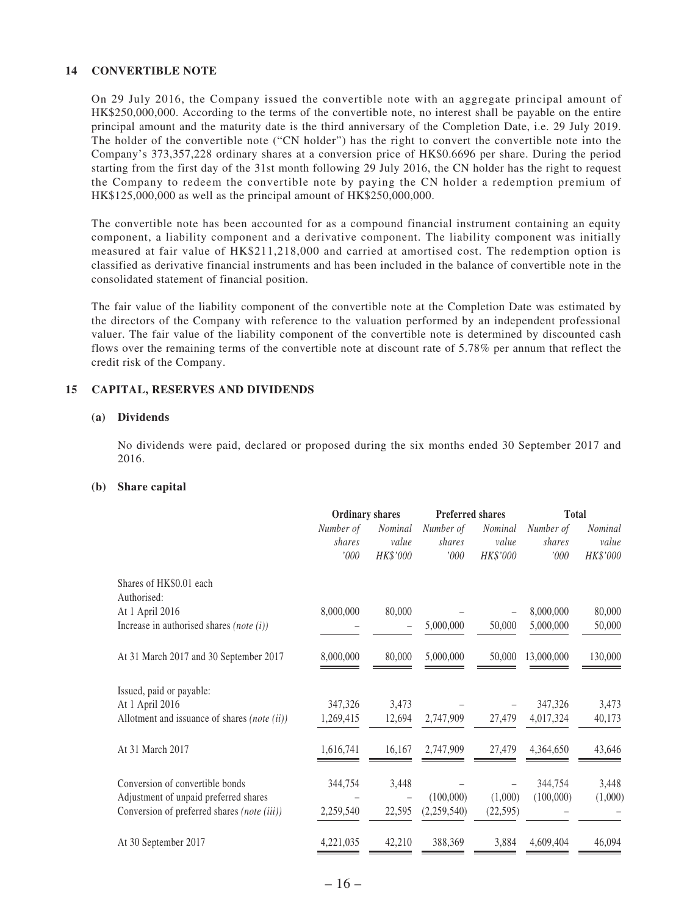#### **14 CONVERTIBLE NOTE**

On 29 July 2016, the Company issued the convertible note with an aggregate principal amount of HK\$250,000,000. According to the terms of the convertible note, no interest shall be payable on the entire principal amount and the maturity date is the third anniversary of the Completion Date, i.e. 29 July 2019. The holder of the convertible note ("CN holder") has the right to convert the convertible note into the Company's 373,357,228 ordinary shares at a conversion price of HK\$0.6696 per share. During the period starting from the first day of the 31st month following 29 July 2016, the CN holder has the right to request the Company to redeem the convertible note by paying the CN holder a redemption premium of HK\$125,000,000 as well as the principal amount of HK\$250,000,000.

The convertible note has been accounted for as a compound financial instrument containing an equity component, a liability component and a derivative component. The liability component was initially measured at fair value of HK\$211,218,000 and carried at amortised cost. The redemption option is classified as derivative financial instruments and has been included in the balance of convertible note in the consolidated statement of financial position.

The fair value of the liability component of the convertible note at the Completion Date was estimated by the directors of the Company with reference to the valuation performed by an independent professional valuer. The fair value of the liability component of the convertible note is determined by discounted cash flows over the remaining terms of the convertible note at discount rate of 5.78% per annum that reflect the credit risk of the Company.

#### **15 CAPITAL, RESERVES AND DIVIDENDS**

#### **(a) Dividends**

No dividends were paid, declared or proposed during the six months ended 30 September 2017 and 2016.

#### **(b) Share capital**

|                                              | <b>Ordinary shares</b>      |                                     | <b>Preferred shares</b>     |                              | <b>Total</b>                  |                                     |
|----------------------------------------------|-----------------------------|-------------------------------------|-----------------------------|------------------------------|-------------------------------|-------------------------------------|
|                                              | Number of<br>shares<br>'000 | <b>Nominal</b><br>value<br>HK\$'000 | Number of<br>shares<br>'000 | Nominal<br>value<br>HK\$'000 | Number of<br>shares<br>$'000$ | <b>Nominal</b><br>value<br>HK\$'000 |
| Shares of HK\$0.01 each<br>Authorised:       |                             |                                     |                             |                              |                               |                                     |
| At 1 April 2016                              | 8,000,000                   | 80,000                              |                             |                              | 8,000,000                     | 80,000                              |
| Increase in authorised shares (note $(i)$ )  |                             |                                     | 5,000,000                   | 50,000                       | 5,000,000                     | 50,000                              |
| At 31 March 2017 and 30 September 2017       | 8,000,000                   | 80,000                              | 5,000,000                   | 50,000                       | 13,000,000                    | 130,000                             |
| Issued, paid or payable:                     |                             |                                     |                             |                              |                               |                                     |
| At 1 April 2016                              | 347,326                     | 3,473                               |                             |                              | 347,326                       | 3,473                               |
| Allotment and issuance of shares (note (ii)) | 1,269,415                   | 12,694                              | 2,747,909                   | 27,479                       | 4,017,324                     | 40,173                              |
| At 31 March 2017                             | 1,616,741                   | 16,167                              | 2,747,909                   | 27,479                       | 4,364,650                     | 43,646                              |
| Conversion of convertible bonds              | 344,754                     | 3,448                               |                             |                              | 344,754                       | 3,448                               |
| Adjustment of unpaid preferred shares        |                             |                                     | (100,000)                   | (1,000)                      | (100,000)                     | (1,000)                             |
| Conversion of preferred shares (note (iii))  | 2,259,540                   | 22,595                              | (2,259,540)                 | (22, 595)                    |                               |                                     |
| At 30 September 2017                         | 4,221,035                   | 42,210                              | 388,369                     | 3,884                        | 4,609,404                     | 46,094                              |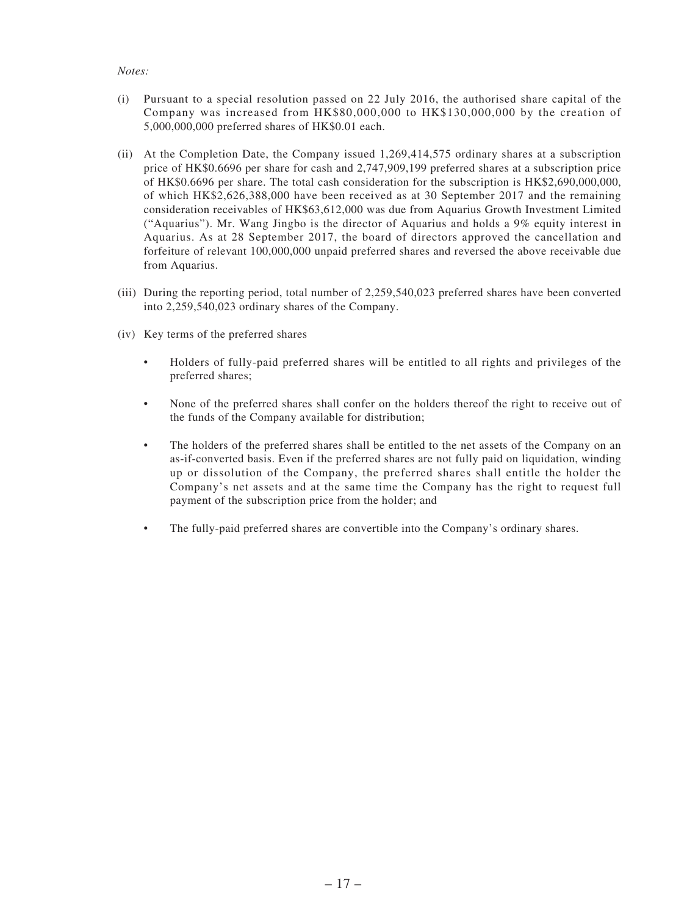#### *Notes:*

- (i) Pursuant to a special resolution passed on 22 July 2016, the authorised share capital of the Company was increased from HK\$80,000,000 to HK\$130,000,000 by the creation of 5,000,000,000 preferred shares of HK\$0.01 each.
- (ii) At the Completion Date, the Company issued 1,269,414,575 ordinary shares at a subscription price of HK\$0.6696 per share for cash and 2,747,909,199 preferred shares at a subscription price of HK\$0.6696 per share. The total cash consideration for the subscription is HK\$2,690,000,000, of which HK\$2,626,388,000 have been received as at 30 September 2017 and the remaining consideration receivables of HK\$63,612,000 was due from Aquarius Growth Investment Limited ("Aquarius"). Mr. Wang Jingbo is the director of Aquarius and holds a 9% equity interest in Aquarius. As at 28 September 2017, the board of directors approved the cancellation and forfeiture of relevant 100,000,000 unpaid preferred shares and reversed the above receivable due from Aquarius.
- (iii) During the reporting period, total number of 2,259,540,023 preferred shares have been converted into 2,259,540,023 ordinary shares of the Company.
- (iv) Key terms of the preferred shares
	- Holders of fully-paid preferred shares will be entitled to all rights and privileges of the preferred shares;
	- None of the preferred shares shall confer on the holders thereof the right to receive out of the funds of the Company available for distribution;
	- The holders of the preferred shares shall be entitled to the net assets of the Company on an as-if-converted basis. Even if the preferred shares are not fully paid on liquidation, winding up or dissolution of the Company, the preferred shares shall entitle the holder the Company's net assets and at the same time the Company has the right to request full payment of the subscription price from the holder; and
	- The fully-paid preferred shares are convertible into the Company's ordinary shares.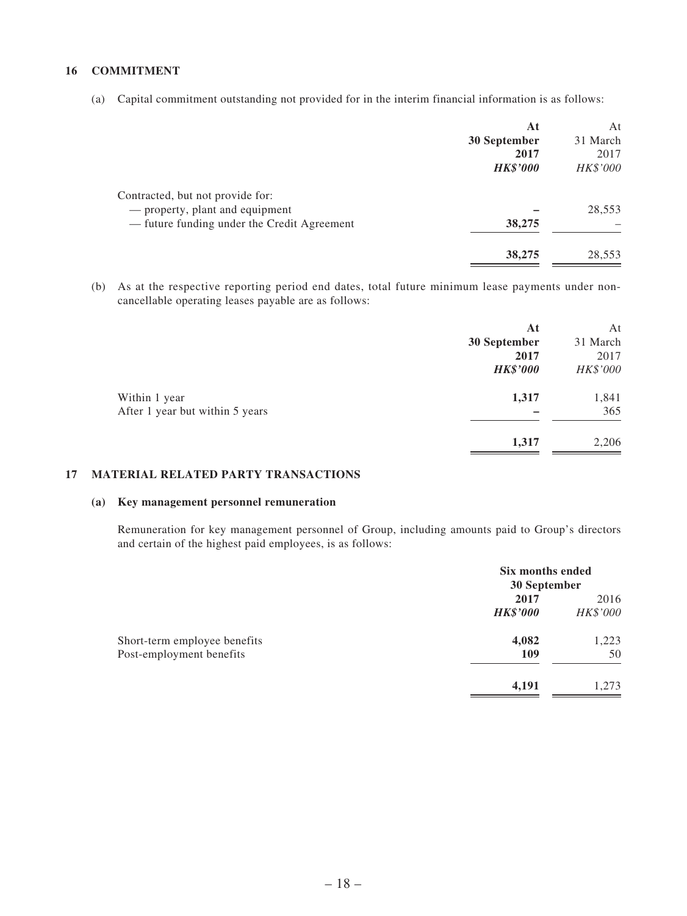#### **16 COMMITMENT**

(a) Capital commitment outstanding not provided for in the interim financial information is as follows:

|                                             | At              | At       |
|---------------------------------------------|-----------------|----------|
|                                             | 30 September    | 31 March |
|                                             | 2017            | 2017     |
|                                             | <b>HK\$'000</b> | HK\$'000 |
| Contracted, but not provide for:            |                 |          |
| - property, plant and equipment             |                 | 28,553   |
| - future funding under the Credit Agreement | 38,275          |          |
|                                             | 38,275          | 28,553   |

(b) As at the respective reporting period end dates, total future minimum lease payments under noncancellable operating leases payable are as follows:

|                                 | At              | At       |
|---------------------------------|-----------------|----------|
|                                 | 30 September    | 31 March |
|                                 | 2017            | 2017     |
|                                 | <b>HK\$'000</b> | HK\$'000 |
| Within 1 year                   | 1,317           | 1,841    |
| After 1 year but within 5 years |                 | 365      |
|                                 | 1,317           | 2,206    |
|                                 |                 |          |

#### **17 MATERIAL RELATED PARTY TRANSACTIONS**

#### **(a) Key management personnel remuneration**

Remuneration for key management personnel of Group, including amounts paid to Group's directors and certain of the highest paid employees, is as follows:

|                                                          | Six months ended<br>30 September |                  |  |
|----------------------------------------------------------|----------------------------------|------------------|--|
|                                                          | 2017<br><b>HK\$'000</b>          | 2016<br>HK\$'000 |  |
| Short-term employee benefits<br>Post-employment benefits | 4,082<br>109                     | 1,223<br>50      |  |
|                                                          | 4,191                            | 1.273            |  |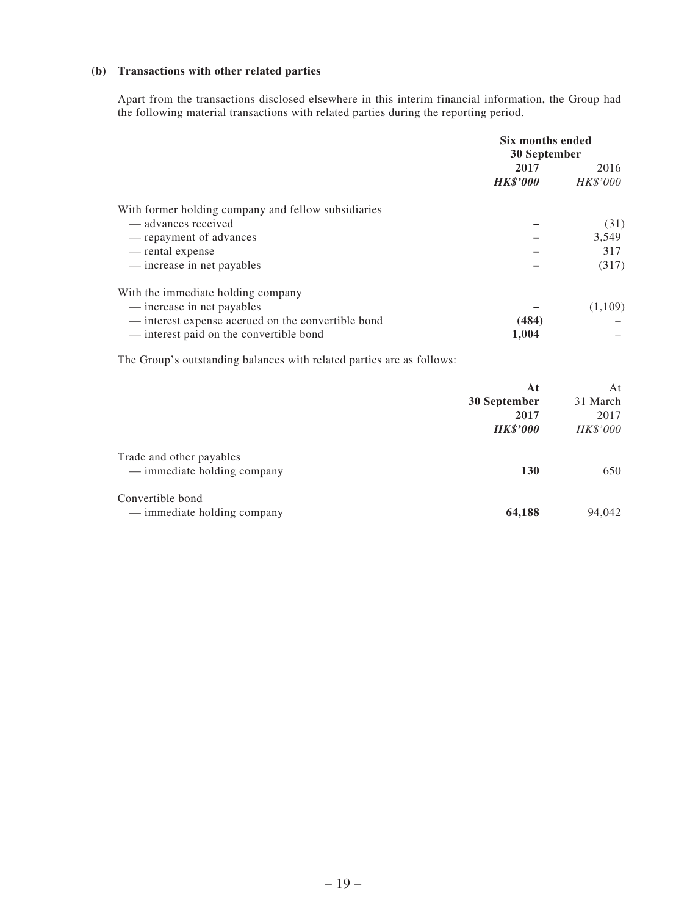#### **(b) Transactions with other related parties**

Apart from the transactions disclosed elsewhere in this interim financial information, the Group had the following material transactions with related parties during the reporting period.

|                                                     | Six months ended |          |  |
|-----------------------------------------------------|------------------|----------|--|
|                                                     | 30 September     |          |  |
|                                                     | 2017             | 2016     |  |
|                                                     | <b>HK\$'000</b>  | HK\$'000 |  |
| With former holding company and fellow subsidiaries |                  |          |  |
| — advances received                                 |                  | (31)     |  |
| — repayment of advances                             |                  | 3,549    |  |
| — rental expense                                    |                  | 317      |  |
| — increase in net payables                          |                  | (317)    |  |
| With the immediate holding company                  |                  |          |  |
| — increase in net payables                          |                  | (1,109)  |  |
| — interest expense accrued on the convertible bond  | (484)            |          |  |
| - interest paid on the convertible bond             | 1,004            |          |  |
|                                                     |                  |          |  |

The Group's outstanding balances with related parties are as follows:

|                                                         | At<br>30 September<br>2017<br><b>HK\$'000</b> | At<br>31 March<br>2017<br>HK\$'000 |
|---------------------------------------------------------|-----------------------------------------------|------------------------------------|
| Trade and other payables<br>— immediate holding company | <b>130</b>                                    | 650                                |
| Convertible bond<br>— immediate holding company         | 64,188                                        | 94,042                             |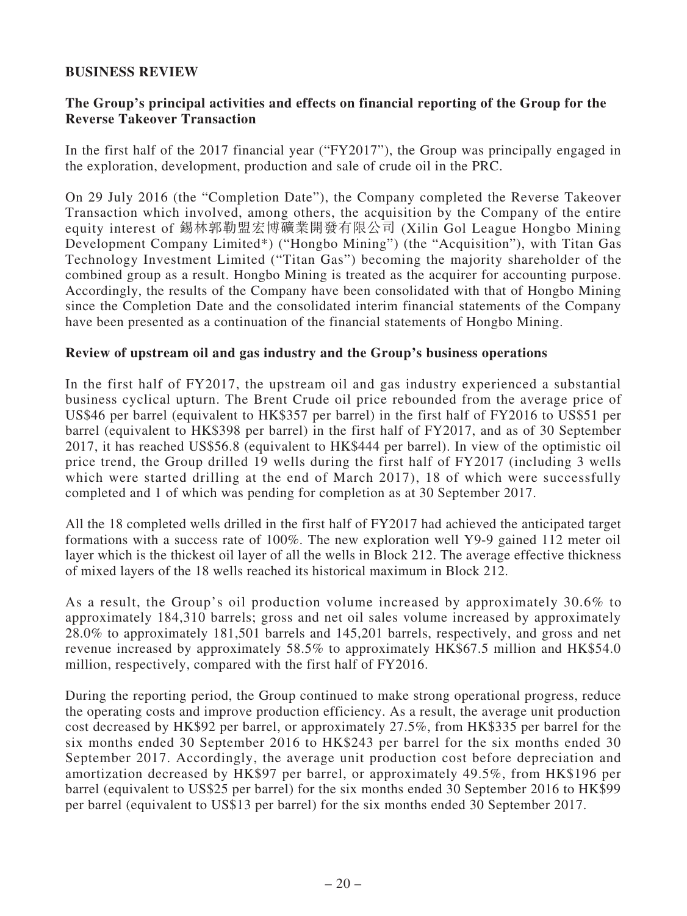## **BUSINESS REVIEW**

## **The Group's principal activities and effects on financial reporting of the Group for the Reverse Takeover Transaction**

In the first half of the 2017 financial year ("FY2017"), the Group was principally engaged in the exploration, development, production and sale of crude oil in the PRC.

On 29 July 2016 (the "Completion Date"), the Company completed the Reverse Takeover Transaction which involved, among others, the acquisition by the Company of the entire equity interest of 錫林郭勒盟宏博礦業開發有限公司 (Xilin Gol League Hongbo Mining Development Company Limited\*) ("Hongbo Mining") (the "Acquisition"), with Titan Gas Technology Investment Limited ("Titan Gas") becoming the majority shareholder of the combined group as a result. Hongbo Mining is treated as the acquirer for accounting purpose. Accordingly, the results of the Company have been consolidated with that of Hongbo Mining since the Completion Date and the consolidated interim financial statements of the Company have been presented as a continuation of the financial statements of Hongbo Mining.

### **Review of upstream oil and gas industry and the Group's business operations**

In the first half of FY2017, the upstream oil and gas industry experienced a substantial business cyclical upturn. The Brent Crude oil price rebounded from the average price of US\$46 per barrel (equivalent to HK\$357 per barrel) in the first half of FY2016 to US\$51 per barrel (equivalent to HK\$398 per barrel) in the first half of FY2017, and as of 30 September 2017, it has reached US\$56.8 (equivalent to HK\$444 per barrel). In view of the optimistic oil price trend, the Group drilled 19 wells during the first half of FY2017 (including 3 wells which were started drilling at the end of March 2017), 18 of which were successfully completed and 1 of which was pending for completion as at 30 September 2017.

All the 18 completed wells drilled in the first half of FY2017 had achieved the anticipated target formations with a success rate of 100%. The new exploration well Y9-9 gained 112 meter oil layer which is the thickest oil layer of all the wells in Block 212. The average effective thickness of mixed layers of the 18 wells reached its historical maximum in Block 212.

As a result, the Group's oil production volume increased by approximately 30.6% to approximately 184,310 barrels; gross and net oil sales volume increased by approximately 28.0% to approximately 181,501 barrels and 145,201 barrels, respectively, and gross and net revenue increased by approximately 58.5% to approximately HK\$67.5 million and HK\$54.0 million, respectively, compared with the first half of FY2016.

During the reporting period, the Group continued to make strong operational progress, reduce the operating costs and improve production efficiency. As a result, the average unit production cost decreased by HK\$92 per barrel, or approximately 27.5%, from HK\$335 per barrel for the six months ended 30 September 2016 to HK\$243 per barrel for the six months ended 30 September 2017. Accordingly, the average unit production cost before depreciation and amortization decreased by HK\$97 per barrel, or approximately 49.5%, from HK\$196 per barrel (equivalent to US\$25 per barrel) for the six months ended 30 September 2016 to HK\$99 per barrel (equivalent to US\$13 per barrel) for the six months ended 30 September 2017.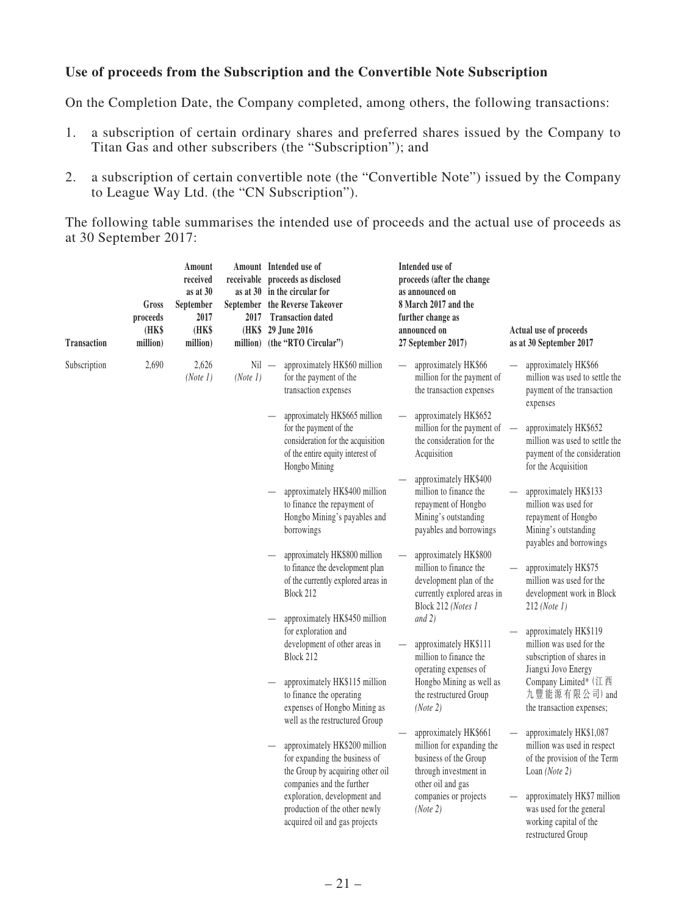## **Use of proceeds from the Subscription and the Convertible Note Subscription**

On the Completion Date, the Company completed, among others, the following transactions:

- 1. a subscription of certain ordinary shares and preferred shares issued by the Company to Titan Gas and other subscribers (the "Subscription"); and
- 2. a subscription of certain convertible note (the "Convertible Note") issued by the Company to League Way Ltd. (the "CN Subscription").

The following table summarises the intended use of proceeds and the actual use of proceeds as at 30 September 2017:

| <b>Transaction</b> | Gross<br>proceeds<br>(HK\$<br>million) | Amount<br>received<br>as at $30$<br>September<br>2017<br>(HK\$<br>million) |          | Amount Intended use of<br>receivable proceeds as disclosed<br>as at 30 in the circular for<br>September the Reverse Takeover<br>2017 Transaction dated<br>(HK\$ 29 June 2016)<br>million) (the "RTO Circular") | Intended use of<br>proceeds (after the change<br>as announced on<br>8 March 2017 and the<br>further change as<br>announced on<br>27 September 2017) | Actual use of proceeds<br>as at 30 September 2017                                                                                              |
|--------------------|----------------------------------------|----------------------------------------------------------------------------|----------|----------------------------------------------------------------------------------------------------------------------------------------------------------------------------------------------------------------|-----------------------------------------------------------------------------------------------------------------------------------------------------|------------------------------------------------------------------------------------------------------------------------------------------------|
| Subscription       | 2,690                                  | 2,626<br>(Note 1)                                                          | (Note 1) | approximately HK\$60 million<br>$Nil -$<br>for the payment of the<br>transaction expenses                                                                                                                      | approximately HK\$66<br>million for the payment of<br>the transaction expenses                                                                      | approximately HK\$66<br>million was used to settle the<br>payment of the transaction<br>expenses                                               |
|                    |                                        |                                                                            |          | approximately HK\$665 million<br>for the payment of the<br>consideration for the acquisition<br>of the entire equity interest of<br>Hongbo Mining                                                              | approximately HK\$652<br>million for the payment of<br>the consideration for the<br>Acquisition                                                     | approximately HK\$652<br>$\overline{\phantom{0}}$<br>million was used to settle the<br>payment of the consideration<br>for the Acquisition     |
|                    |                                        |                                                                            |          | approximately HK\$400 million<br>to finance the repayment of<br>Hongbo Mining's payables and<br>borrowings                                                                                                     | approximately HK\$400<br>million to finance the<br>repayment of Hongbo<br>Mining's outstanding<br>payables and borrowings                           | approximately HK\$133<br>million was used for<br>repayment of Hongbo<br>Mining's outstanding<br>payables and borrowings                        |
|                    |                                        |                                                                            |          | approximately HK\$800 million<br>to finance the development plan<br>of the currently explored areas in<br>Block 212                                                                                            | approximately HK\$800<br>million to finance the<br>development plan of the<br>currently explored areas in<br>Block 212 (Notes 1                     | approximately HK\$75<br>million was used for the<br>development work in Block<br>$212$ (Note 1)                                                |
|                    |                                        |                                                                            |          | approximately HK\$450 million<br>for exploration and<br>development of other areas in<br>Block 212<br>approximately HK\$115 million<br>to finance the operating                                                | and $2)$<br>approximately HK\$111<br>million to finance the<br>operating expenses of<br>Hongbo Mining as well as<br>the restructured Group          | approximately HK\$119<br>million was used for the<br>subscription of shares in<br>Jiangxi Jovo Energy<br>Company Limited* (江西<br>九豐能源有限公司) and |
|                    |                                        |                                                                            |          | expenses of Hongbo Mining as<br>well as the restructured Group                                                                                                                                                 | (Note 2)<br>approximately HK\$661                                                                                                                   | the transaction expenses;<br>approximately HK\$1,087                                                                                           |
|                    |                                        |                                                                            |          | approximately HK\$200 million<br>for expanding the business of<br>the Group by acquiring other oil<br>companies and the further                                                                                | million for expanding the<br>business of the Group<br>through investment in<br>other oil and gas                                                    | million was used in respect<br>of the provision of the Term<br>Loan (Note 2)                                                                   |
|                    |                                        |                                                                            |          | exploration, development and<br>production of the other newly<br>acquired oil and gas projects                                                                                                                 | companies or projects<br>(Note 2)                                                                                                                   | approximately HK\$7 million<br>was used for the general<br>working capital of the<br>restructured Group                                        |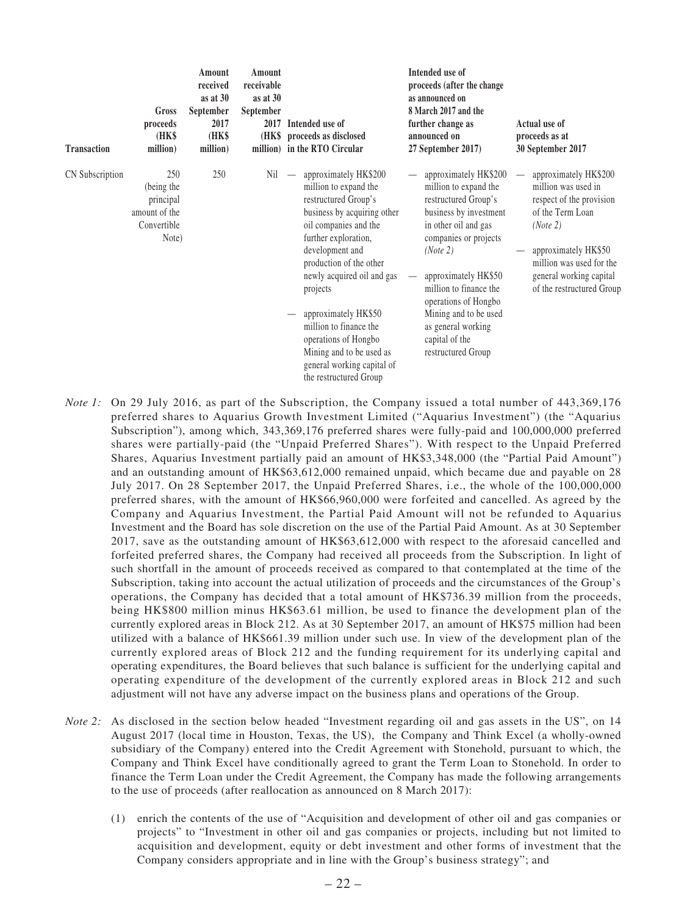| <b>Transaction</b>     | Gross<br>proceeds<br>(HK\$<br>million)                                  | Amount<br>received<br>as at 30<br>September<br>2017<br>(HK\$<br>million) | Amount<br>receivable<br>as at $30$<br>September<br>2017 | Intended use of<br>(HK\$ proceeds as disclosed<br>million) in the RTO Circular                                                                                                                                                                                                                                                                                                                               | Intended use of<br>proceeds (after the change<br>as announced on<br>8 March 2017 and the<br>further change as<br>announced on<br>27 September 2017)                                                                                                                                                                            | <b>Actual use of</b><br>proceeds as at<br>30 September 2017                                                                                                                                                          |
|------------------------|-------------------------------------------------------------------------|--------------------------------------------------------------------------|---------------------------------------------------------|--------------------------------------------------------------------------------------------------------------------------------------------------------------------------------------------------------------------------------------------------------------------------------------------------------------------------------------------------------------------------------------------------------------|--------------------------------------------------------------------------------------------------------------------------------------------------------------------------------------------------------------------------------------------------------------------------------------------------------------------------------|----------------------------------------------------------------------------------------------------------------------------------------------------------------------------------------------------------------------|
| <b>CN</b> Subscription | 250<br>(being the<br>principal<br>amount of the<br>Convertible<br>Note) | 250                                                                      | Nil                                                     | approximately HK\$200<br>million to expand the<br>restructured Group's<br>business by acquiring other<br>oil companies and the<br>further exploration,<br>development and<br>production of the other<br>newly acquired oil and gas<br>projects<br>approximately HK\$50<br>million to finance the<br>operations of Hongbo<br>Mining and to be used as<br>general working capital of<br>the restructured Group | approximately HK\$200<br>million to expand the<br>restructured Group's<br>business by investment<br>in other oil and gas<br>companies or projects<br>(Note 2)<br>approximately HK\$50<br>million to finance the<br>operations of Hongbo<br>Mining and to be used<br>as general working<br>capital of the<br>restructured Group | approximately HK\$200<br>million was used in<br>respect of the provision<br>of the Term Loan<br>(Note 2)<br>approximately HK\$50<br>million was used for the<br>general working capital<br>of the restructured Group |

- *Note 1:* On 29 July 2016, as part of the Subscription, the Company issued a total number of 443,369,176 preferred shares to Aquarius Growth Investment Limited ("Aquarius Investment") (the "Aquarius Subscription"), among which, 343,369,176 preferred shares were fully-paid and 100,000,000 preferred shares were partially-paid (the "Unpaid Preferred Shares"). With respect to the Unpaid Preferred Shares, Aquarius Investment partially paid an amount of HK\$3,348,000 (the "Partial Paid Amount") and an outstanding amount of HK\$63,612,000 remained unpaid, which became due and payable on 28 July 2017. On 28 September 2017, the Unpaid Preferred Shares, i.e., the whole of the 100,000,000 preferred shares, with the amount of HK\$66,960,000 were forfeited and cancelled. As agreed by the Company and Aquarius Investment, the Partial Paid Amount will not be refunded to Aquarius Investment and the Board has sole discretion on the use of the Partial Paid Amount. As at 30 September 2017, save as the outstanding amount of HK\$63,612,000 with respect to the aforesaid cancelled and forfeited preferred shares, the Company had received all proceeds from the Subscription. In light of such shortfall in the amount of proceeds received as compared to that contemplated at the time of the Subscription, taking into account the actual utilization of proceeds and the circumstances of the Group's operations, the Company has decided that a total amount of HK\$736.39 million from the proceeds, being HK\$800 million minus HK\$63.61 million, be used to finance the development plan of the currently explored areas in Block 212. As at 30 September 2017, an amount of HK\$75 million had been utilized with a balance of HK\$661.39 million under such use. In view of the development plan of the currently explored areas of Block 212 and the funding requirement for its underlying capital and operating expenditures, the Board believes that such balance is sufficient for the underlying capital and operating expenditure of the development of the currently explored areas in Block 212 and such adjustment will not have any adverse impact on the business plans and operations of the Group.
- *Note 2:* As disclosed in the section below headed "Investment regarding oil and gas assets in the US", on 14 August 2017 (local time in Houston, Texas, the US), the Company and Think Excel (a wholly-owned subsidiary of the Company) entered into the Credit Agreement with Stonehold, pursuant to which, the Company and Think Excel have conditionally agreed to grant the Term Loan to Stonehold. In order to finance the Term Loan under the Credit Agreement, the Company has made the following arrangements to the use of proceeds (after reallocation as announced on 8 March 2017):
	- (1) enrich the contents of the use of "Acquisition and development of other oil and gas companies or projects" to "Investment in other oil and gas companies or projects, including but not limited to acquisition and development, equity or debt investment and other forms of investment that the Company considers appropriate and in line with the Group's business strategy"; and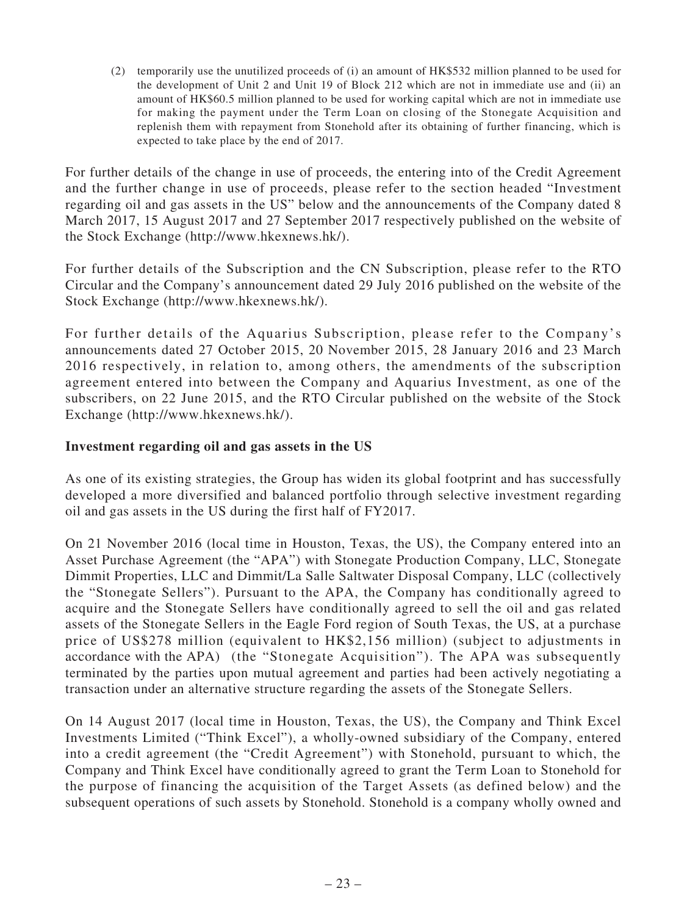(2) temporarily use the unutilized proceeds of (i) an amount of HK\$532 million planned to be used for the development of Unit 2 and Unit 19 of Block 212 which are not in immediate use and (ii) an amount of HK\$60.5 million planned to be used for working capital which are not in immediate use for making the payment under the Term Loan on closing of the Stonegate Acquisition and replenish them with repayment from Stonehold after its obtaining of further financing, which is expected to take place by the end of 2017.

For further details of the change in use of proceeds, the entering into of the Credit Agreement and the further change in use of proceeds, please refer to the section headed "Investment regarding oil and gas assets in the US" below and the announcements of the Company dated 8 March 2017, 15 August 2017 and 27 September 2017 respectively published on the website of the Stock Exchange (http://www.hkexnews.hk/).

For further details of the Subscription and the CN Subscription, please refer to the RTO Circular and the Company's announcement dated 29 July 2016 published on the website of the Stock Exchange (http://www.hkexnews.hk/).

For further details of the Aquarius Subscription, please refer to the Company's announcements dated 27 October 2015, 20 November 2015, 28 January 2016 and 23 March 2016 respectively, in relation to, among others, the amendments of the subscription agreement entered into between the Company and Aquarius Investment, as one of the subscribers, on 22 June 2015, and the RTO Circular published on the website of the Stock Exchange (http://www.hkexnews.hk/).

# **Investment regarding oil and gas assets in the US**

As one of its existing strategies, the Group has widen its global footprint and has successfully developed a more diversified and balanced portfolio through selective investment regarding oil and gas assets in the US during the first half of FY2017.

On 21 November 2016 (local time in Houston, Texas, the US), the Company entered into an Asset Purchase Agreement (the "APA") with Stonegate Production Company, LLC, Stonegate Dimmit Properties, LLC and Dimmit/La Salle Saltwater Disposal Company, LLC (collectively the "Stonegate Sellers"). Pursuant to the APA, the Company has conditionally agreed to acquire and the Stonegate Sellers have conditionally agreed to sell the oil and gas related assets of the Stonegate Sellers in the Eagle Ford region of South Texas, the US, at a purchase price of US\$278 million (equivalent to HK\$2,156 million) (subject to adjustments in accordance with the APA) (the "Stonegate Acquisition"). The APA was subsequently terminated by the parties upon mutual agreement and parties had been actively negotiating a transaction under an alternative structure regarding the assets of the Stonegate Sellers.

On 14 August 2017 (local time in Houston, Texas, the US), the Company and Think Excel Investments Limited ("Think Excel"), a wholly-owned subsidiary of the Company, entered into a credit agreement (the "Credit Agreement") with Stonehold, pursuant to which, the Company and Think Excel have conditionally agreed to grant the Term Loan to Stonehold for the purpose of financing the acquisition of the Target Assets (as defined below) and the subsequent operations of such assets by Stonehold. Stonehold is a company wholly owned and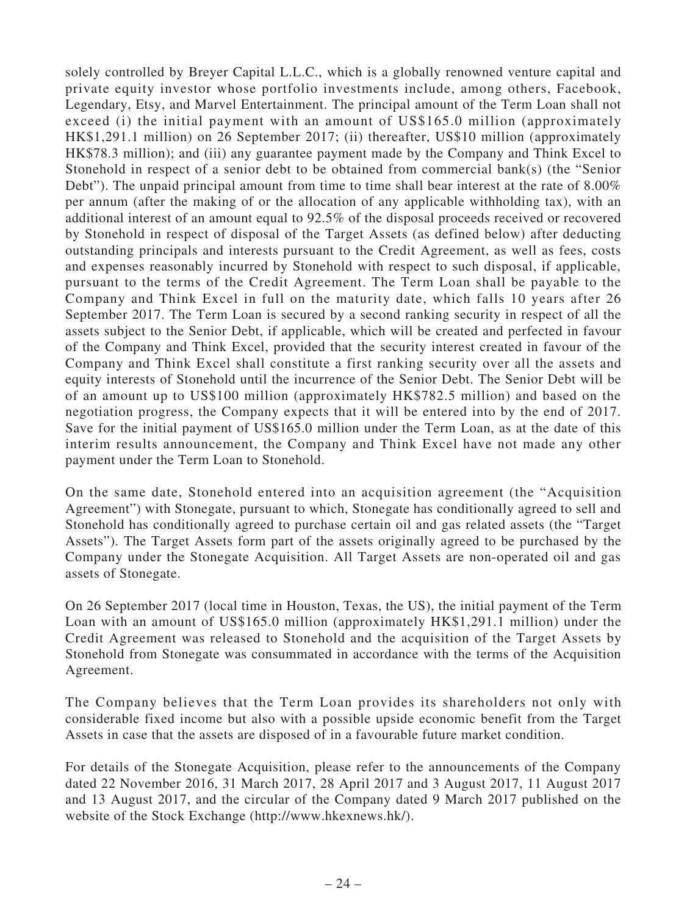solely controlled by Breyer Capital L.L.C., which is a globally renowned venture capital and private equity investor whose portfolio investments include, among others, Facebook, Legendary, Etsy, and Marvel Entertainment. The principal amount of the Term Loan shall not exceed (i) the initial payment with an amount of US\$165.0 million (approximately HK\$1,291.1 million) on 26 September 2017; (ii) thereafter, US\$10 million (approximately HK\$78.3 million); and (iii) any guarantee payment made by the Company and Think Excel to Stonehold in respect of a senior debt to be obtained from commercial bank(s) (the "Senior Debt"). The unpaid principal amount from time to time shall bear interest at the rate of 8.00% per annum (after the making of or the allocation of any applicable withholding tax), with an additional interest of an amount equal to 92.5% of the disposal proceeds received or recovered by Stonehold in respect of disposal of the Target Assets (as defined below) after deducting outstanding principals and interests pursuant to the Credit Agreement, as well as fees, costs and expenses reasonably incurred by Stonehold with respect to such disposal, if applicable, pursuant to the terms of the Credit Agreement. The Term Loan shall be payable to the Company and Think Excel in full on the maturity date, which falls 10 years after 26 September 2017. The Term Loan is secured by a second ranking security in respect of all the assets subject to the Senior Debt, if applicable, which will be created and perfected in favour of the Company and Think Excel, provided that the security interest created in favour of the Company and Think Excel shall constitute a first ranking security over all the assets and equity interests of Stonehold until the incurrence of the Senior Debt. The Senior Debt will be of an amount up to US\$100 million (approximately HK\$782.5 million) and based on the negotiation progress, the Company expects that it will be entered into by the end of 2017. Save for the initial payment of US\$165.0 million under the Term Loan, as at the date of this interim results announcement, the Company and Think Excel have not made any other payment under the Term Loan to Stonehold.

On the same date, Stonehold entered into an acquisition agreement (the "Acquisition Agreement") with Stonegate, pursuant to which, Stonegate has conditionally agreed to sell and Stonehold has conditionally agreed to purchase certain oil and gas related assets (the "Target Assets"). The Target Assets form part of the assets originally agreed to be purchased by the Company under the Stonegate Acquisition. All Target Assets are non-operated oil and gas assets of Stonegate.

On 26 September 2017 (local time in Houston, Texas, the US), the initial payment of the Term Loan with an amount of US\$165.0 million (approximately HK\$1,291.1 million) under the Credit Agreement was released to Stonehold and the acquisition of the Target Assets by Stonehold from Stonegate was consummated in accordance with the terms of the Acquisition Agreement.

The Company believes that the Term Loan provides its shareholders not only with considerable fixed income but also with a possible upside economic benefit from the Target Assets in case that the assets are disposed of in a favourable future market condition.

For details of the Stonegate Acquisition, please refer to the announcements of the Company dated 22 November 2016, 31 March 2017, 28 April 2017 and 3 August 2017, 11 August 2017 and 13 August 2017, and the circular of the Company dated 9 March 2017 published on the website of the Stock Exchange (http://www.hkexnews.hk/).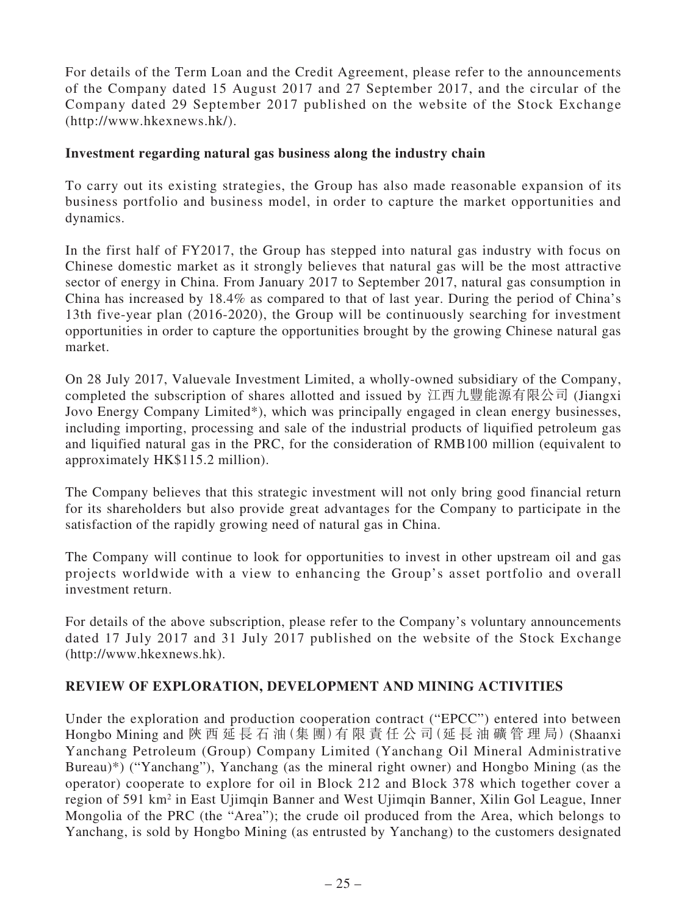For details of the Term Loan and the Credit Agreement, please refer to the announcements of the Company dated 15 August 2017 and 27 September 2017, and the circular of the Company dated 29 September 2017 published on the website of the Stock Exchange (http://www.hkexnews.hk/).

## **Investment regarding natural gas business along the industry chain**

To carry out its existing strategies, the Group has also made reasonable expansion of its business portfolio and business model, in order to capture the market opportunities and dynamics.

In the first half of FY2017, the Group has stepped into natural gas industry with focus on Chinese domestic market as it strongly believes that natural gas will be the most attractive sector of energy in China. From January 2017 to September 2017, natural gas consumption in China has increased by 18.4% as compared to that of last year. During the period of China's 13th five-year plan (2016-2020), the Group will be continuously searching for investment opportunities in order to capture the opportunities brought by the growing Chinese natural gas market.

On 28 July 2017, Valuevale Investment Limited, a wholly-owned subsidiary of the Company, completed the subscription of shares allotted and issued by 江西九豐能源有限公司 (Jiangxi Jovo Energy Company Limited\*), which was principally engaged in clean energy businesses, including importing, processing and sale of the industrial products of liquified petroleum gas and liquified natural gas in the PRC, for the consideration of RMB100 million (equivalent to approximately HK\$115.2 million).

The Company believes that this strategic investment will not only bring good financial return for its shareholders but also provide great advantages for the Company to participate in the satisfaction of the rapidly growing need of natural gas in China.

The Company will continue to look for opportunities to invest in other upstream oil and gas projects worldwide with a view to enhancing the Group's asset portfolio and overall investment return.

For details of the above subscription, please refer to the Company's voluntary announcements dated 17 July 2017 and 31 July 2017 published on the website of the Stock Exchange (http://www.hkexnews.hk).

## **REVIEW OF EXPLORATION, DEVELOPMENT AND MINING ACTIVITIES**

Under the exploration and production cooperation contract ("EPCC") entered into between Hongbo Mining and 陝 西 延 長 石 油(集 團)有 限 責 任 公 司(延 長 油 礦 管 理 局) (Shaanxi Yanchang Petroleum (Group) Company Limited (Yanchang Oil Mineral Administrative Bureau)\*) ("Yanchang"), Yanchang (as the mineral right owner) and Hongbo Mining (as the operator) cooperate to explore for oil in Block 212 and Block 378 which together cover a region of 591 km<sup>2</sup> in East Ujimqin Banner and West Ujimqin Banner, Xilin Gol League, Inner Mongolia of the PRC (the "Area"); the crude oil produced from the Area, which belongs to Yanchang, is sold by Hongbo Mining (as entrusted by Yanchang) to the customers designated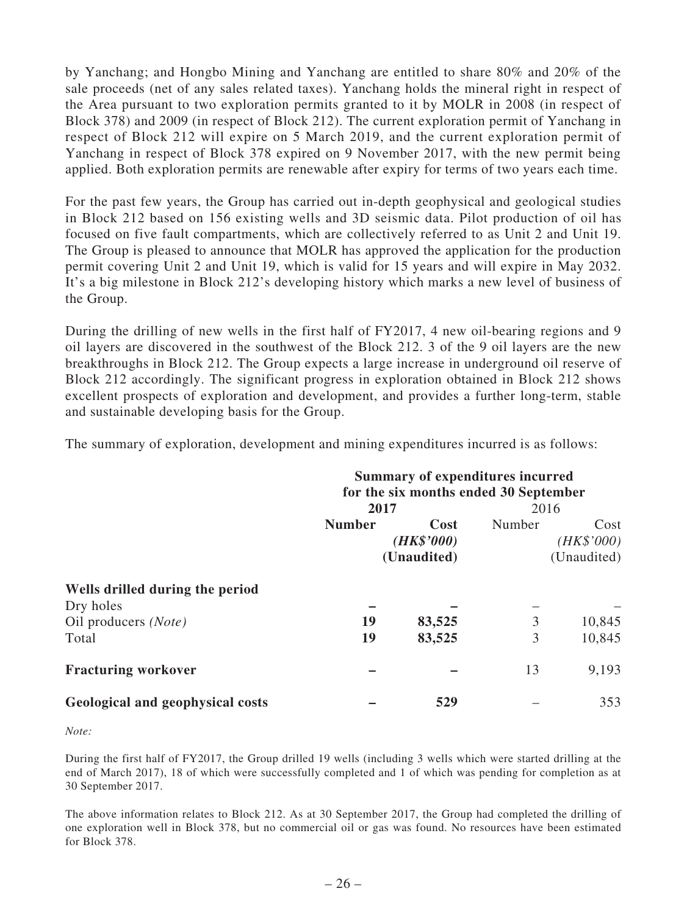by Yanchang; and Hongbo Mining and Yanchang are entitled to share 80% and 20% of the sale proceeds (net of any sales related taxes). Yanchang holds the mineral right in respect of the Area pursuant to two exploration permits granted to it by MOLR in 2008 (in respect of Block 378) and 2009 (in respect of Block 212). The current exploration permit of Yanchang in respect of Block 212 will expire on 5 March 2019, and the current exploration permit of Yanchang in respect of Block 378 expired on 9 November 2017, with the new permit being applied. Both exploration permits are renewable after expiry for terms of two years each time.

For the past few years, the Group has carried out in-depth geophysical and geological studies in Block 212 based on 156 existing wells and 3D seismic data. Pilot production of oil has focused on five fault compartments, which are collectively referred to as Unit 2 and Unit 19. The Group is pleased to announce that MOLR has approved the application for the production permit covering Unit 2 and Unit 19, which is valid for 15 years and will expire in May 2032. It's a big milestone in Block 212's developing history which marks a new level of business of the Group.

During the drilling of new wells in the first half of FY2017, 4 new oil-bearing regions and 9 oil layers are discovered in the southwest of the Block 212. 3 of the 9 oil layers are the new breakthroughs in Block 212. The Group expects a large increase in underground oil reserve of Block 212 accordingly. The significant progress in exploration obtained in Block 212 shows excellent prospects of exploration and development, and provides a further long-term, stable and sustainable developing basis for the Group.

The summary of exploration, development and mining expenditures incurred is as follows:

|                                              | <b>Summary of expenditures incurred</b><br>for the six months ended 30 September |                                   |        |                                   |  |
|----------------------------------------------|----------------------------------------------------------------------------------|-----------------------------------|--------|-----------------------------------|--|
|                                              | 2017                                                                             |                                   | 2016   |                                   |  |
|                                              | <b>Number</b>                                                                    | Cost<br>(HK\$'000)<br>(Unaudited) | Number | Cost<br>(HK\$'000)<br>(Unaudited) |  |
| Wells drilled during the period<br>Dry holes |                                                                                  |                                   |        |                                   |  |
| Oil producers (Note)<br>Total                | 19<br>19                                                                         | 83,525<br>83,525                  | 3<br>3 | 10,845<br>10,845                  |  |
| <b>Fracturing workover</b>                   |                                                                                  |                                   | 13     | 9,193                             |  |
| Geological and geophysical costs             |                                                                                  | 529                               |        | 353                               |  |

*Note:*

During the first half of FY2017, the Group drilled 19 wells (including 3 wells which were started drilling at the end of March 2017), 18 of which were successfully completed and 1 of which was pending for completion as at 30 September 2017.

The above information relates to Block 212. As at 30 September 2017, the Group had completed the drilling of one exploration well in Block 378, but no commercial oil or gas was found. No resources have been estimated for Block 378.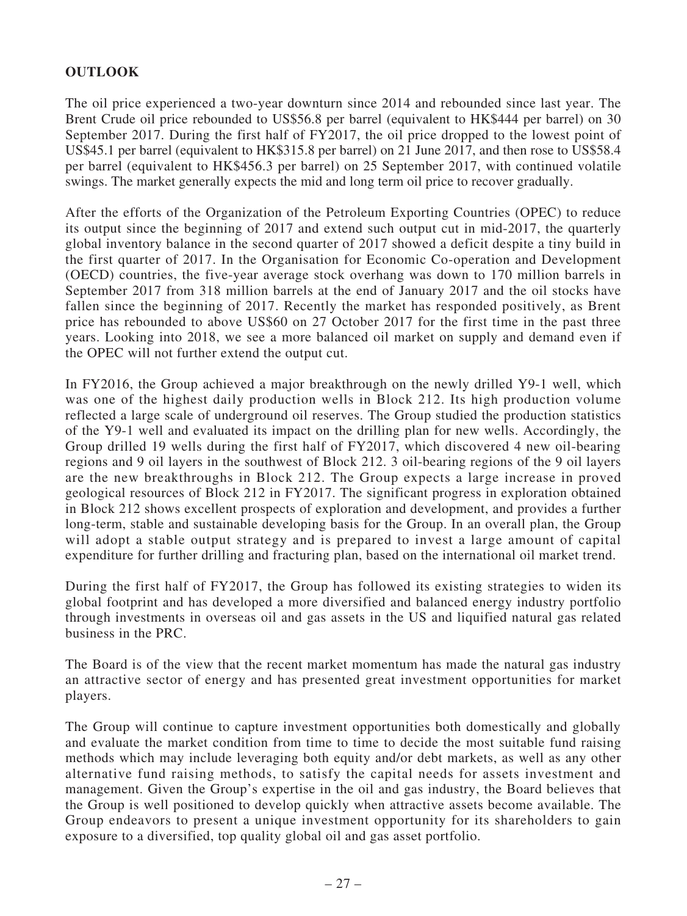# **OUTLOOK**

The oil price experienced a two-year downturn since 2014 and rebounded since last year. The Brent Crude oil price rebounded to US\$56.8 per barrel (equivalent to HK\$444 per barrel) on 30 September 2017. During the first half of FY2017, the oil price dropped to the lowest point of US\$45.1 per barrel (equivalent to HK\$315.8 per barrel) on 21 June 2017, and then rose to US\$58.4 per barrel (equivalent to HK\$456.3 per barrel) on 25 September 2017, with continued volatile swings. The market generally expects the mid and long term oil price to recover gradually.

After the efforts of the Organization of the Petroleum Exporting Countries (OPEC) to reduce its output since the beginning of 2017 and extend such output cut in mid-2017, the quarterly global inventory balance in the second quarter of 2017 showed a deficit despite a tiny build in the first quarter of 2017. In the Organisation for Economic Co-operation and Development (OECD) countries, the five-year average stock overhang was down to 170 million barrels in September 2017 from 318 million barrels at the end of January 2017 and the oil stocks have fallen since the beginning of 2017. Recently the market has responded positively, as Brent price has rebounded to above US\$60 on 27 October 2017 for the first time in the past three years. Looking into 2018, we see a more balanced oil market on supply and demand even if the OPEC will not further extend the output cut.

In FY2016, the Group achieved a major breakthrough on the newly drilled Y9-1 well, which was one of the highest daily production wells in Block 212. Its high production volume reflected a large scale of underground oil reserves. The Group studied the production statistics of the Y9-1 well and evaluated its impact on the drilling plan for new wells. Accordingly, the Group drilled 19 wells during the first half of FY2017, which discovered 4 new oil-bearing regions and 9 oil layers in the southwest of Block 212. 3 oil-bearing regions of the 9 oil layers are the new breakthroughs in Block 212. The Group expects a large increase in proved geological resources of Block 212 in FY2017. The significant progress in exploration obtained in Block 212 shows excellent prospects of exploration and development, and provides a further long-term, stable and sustainable developing basis for the Group. In an overall plan, the Group will adopt a stable output strategy and is prepared to invest a large amount of capital expenditure for further drilling and fracturing plan, based on the international oil market trend.

During the first half of FY2017, the Group has followed its existing strategies to widen its global footprint and has developed a more diversified and balanced energy industry portfolio through investments in overseas oil and gas assets in the US and liquified natural gas related business in the PRC.

The Board is of the view that the recent market momentum has made the natural gas industry an attractive sector of energy and has presented great investment opportunities for market players.

The Group will continue to capture investment opportunities both domestically and globally and evaluate the market condition from time to time to decide the most suitable fund raising methods which may include leveraging both equity and/or debt markets, as well as any other alternative fund raising methods, to satisfy the capital needs for assets investment and management. Given the Group's expertise in the oil and gas industry, the Board believes that the Group is well positioned to develop quickly when attractive assets become available. The Group endeavors to present a unique investment opportunity for its shareholders to gain exposure to a diversified, top quality global oil and gas asset portfolio.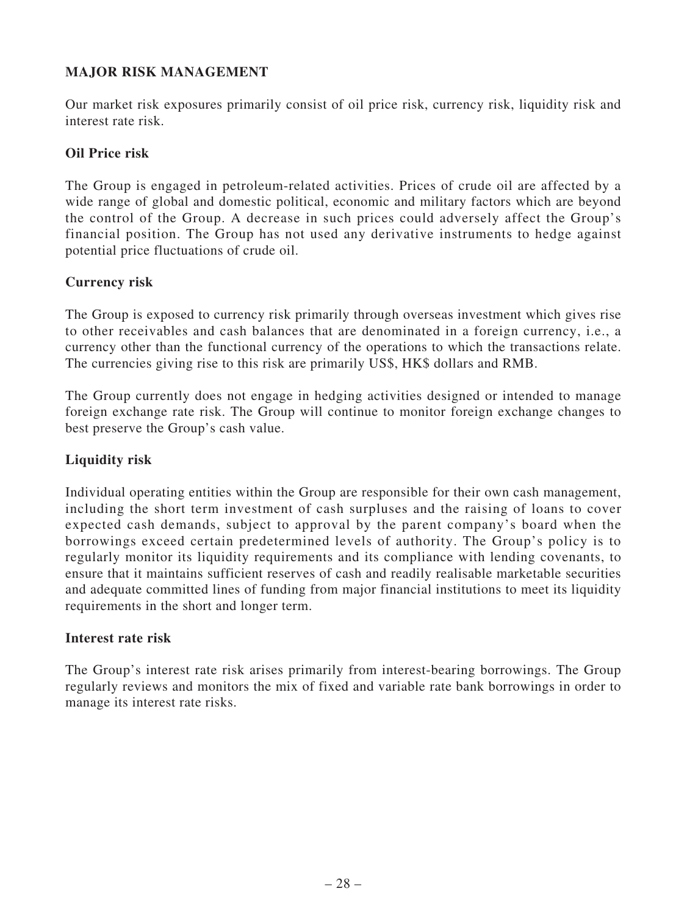# **MAJOR RISK MANAGEMENT**

Our market risk exposures primarily consist of oil price risk, currency risk, liquidity risk and interest rate risk.

## **Oil Price risk**

The Group is engaged in petroleum-related activities. Prices of crude oil are affected by a wide range of global and domestic political, economic and military factors which are beyond the control of the Group. A decrease in such prices could adversely affect the Group's financial position. The Group has not used any derivative instruments to hedge against potential price fluctuations of crude oil.

# **Currency risk**

The Group is exposed to currency risk primarily through overseas investment which gives rise to other receivables and cash balances that are denominated in a foreign currency, i.e., a currency other than the functional currency of the operations to which the transactions relate. The currencies giving rise to this risk are primarily US\$, HK\$ dollars and RMB.

The Group currently does not engage in hedging activities designed or intended to manage foreign exchange rate risk. The Group will continue to monitor foreign exchange changes to best preserve the Group's cash value.

# **Liquidity risk**

Individual operating entities within the Group are responsible for their own cash management, including the short term investment of cash surpluses and the raising of loans to cover expected cash demands, subject to approval by the parent company's board when the borrowings exceed certain predetermined levels of authority. The Group's policy is to regularly monitor its liquidity requirements and its compliance with lending covenants, to ensure that it maintains sufficient reserves of cash and readily realisable marketable securities and adequate committed lines of funding from major financial institutions to meet its liquidity requirements in the short and longer term.

## **Interest rate risk**

The Group's interest rate risk arises primarily from interest-bearing borrowings. The Group regularly reviews and monitors the mix of fixed and variable rate bank borrowings in order to manage its interest rate risks.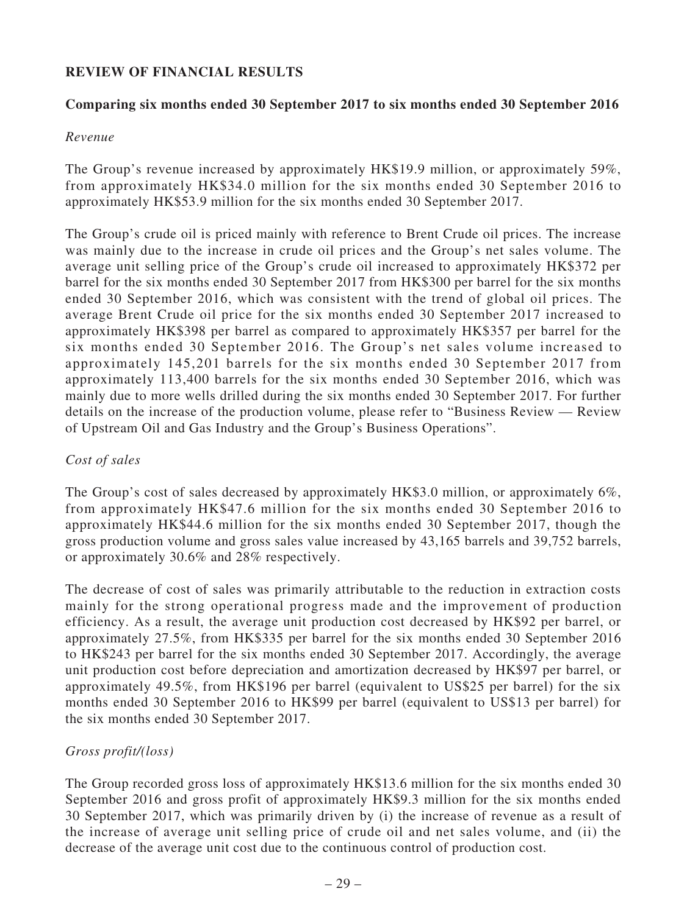# **REVIEW OF FINANCIAL RESULTS**

## **Comparing six months ended 30 September 2017 to six months ended 30 September 2016**

### *Revenue*

The Group's revenue increased by approximately HK\$19.9 million, or approximately 59%, from approximately HK\$34.0 million for the six months ended 30 September 2016 to approximately HK\$53.9 million for the six months ended 30 September 2017.

The Group's crude oil is priced mainly with reference to Brent Crude oil prices. The increase was mainly due to the increase in crude oil prices and the Group's net sales volume. The average unit selling price of the Group's crude oil increased to approximately HK\$372 per barrel for the six months ended 30 September 2017 from HK\$300 per barrel for the six months ended 30 September 2016, which was consistent with the trend of global oil prices. The average Brent Crude oil price for the six months ended 30 September 2017 increased to approximately HK\$398 per barrel as compared to approximately HK\$357 per barrel for the six months ended 30 September 2016. The Group's net sales volume increased to approximately 145,201 barrels for the six months ended 30 September 2017 from approximately 113,400 barrels for the six months ended 30 September 2016, which was mainly due to more wells drilled during the six months ended 30 September 2017. For further details on the increase of the production volume, please refer to "Business Review — Review of Upstream Oil and Gas Industry and the Group's Business Operations".

### *Cost of sales*

The Group's cost of sales decreased by approximately HK\$3.0 million, or approximately 6%, from approximately HK\$47.6 million for the six months ended 30 September 2016 to approximately HK\$44.6 million for the six months ended 30 September 2017, though the gross production volume and gross sales value increased by 43,165 barrels and 39,752 barrels, or approximately 30.6% and 28% respectively.

The decrease of cost of sales was primarily attributable to the reduction in extraction costs mainly for the strong operational progress made and the improvement of production efficiency. As a result, the average unit production cost decreased by HK\$92 per barrel, or approximately 27.5%, from HK\$335 per barrel for the six months ended 30 September 2016 to HK\$243 per barrel for the six months ended 30 September 2017. Accordingly, the average unit production cost before depreciation and amortization decreased by HK\$97 per barrel, or approximately 49.5%, from HK\$196 per barrel (equivalent to US\$25 per barrel) for the six months ended 30 September 2016 to HK\$99 per barrel (equivalent to US\$13 per barrel) for the six months ended 30 September 2017.

## *Gross profit/(loss)*

The Group recorded gross loss of approximately HK\$13.6 million for the six months ended 30 September 2016 and gross profit of approximately HK\$9.3 million for the six months ended 30 September 2017, which was primarily driven by (i) the increase of revenue as a result of the increase of average unit selling price of crude oil and net sales volume, and (ii) the decrease of the average unit cost due to the continuous control of production cost.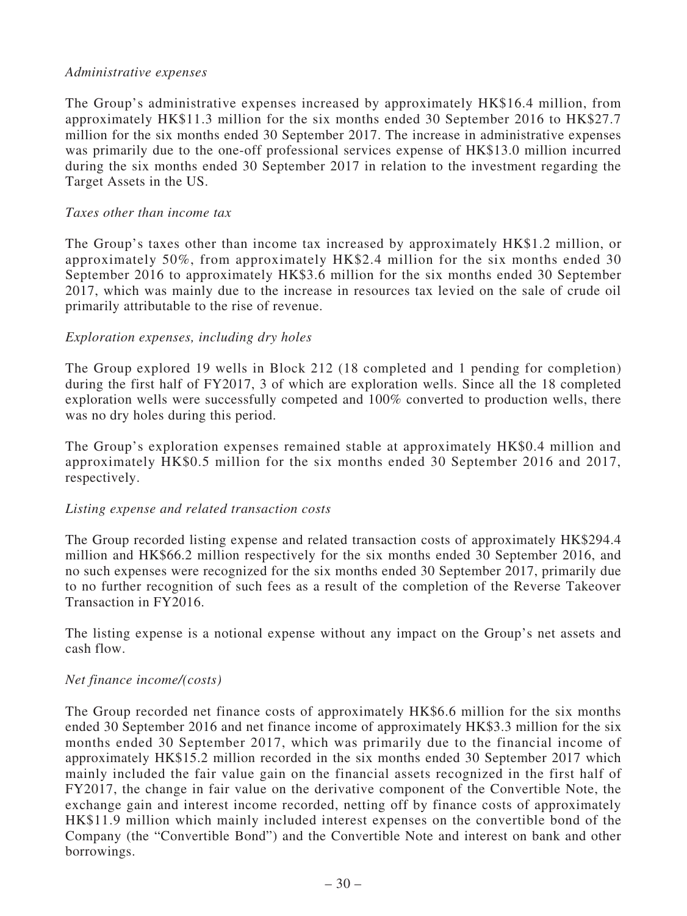#### *Administrative expenses*

The Group's administrative expenses increased by approximately HK\$16.4 million, from approximately HK\$11.3 million for the six months ended 30 September 2016 to HK\$27.7 million for the six months ended 30 September 2017. The increase in administrative expenses was primarily due to the one-off professional services expense of HK\$13.0 million incurred during the six months ended 30 September 2017 in relation to the investment regarding the Target Assets in the US.

#### *Taxes other than income tax*

The Group's taxes other than income tax increased by approximately HK\$1.2 million, or approximately 50%, from approximately HK\$2.4 million for the six months ended 30 September 2016 to approximately HK\$3.6 million for the six months ended 30 September 2017, which was mainly due to the increase in resources tax levied on the sale of crude oil primarily attributable to the rise of revenue.

### *Exploration expenses, including dry holes*

The Group explored 19 wells in Block 212 (18 completed and 1 pending for completion) during the first half of FY2017, 3 of which are exploration wells. Since all the 18 completed exploration wells were successfully competed and 100% converted to production wells, there was no dry holes during this period.

The Group's exploration expenses remained stable at approximately HK\$0.4 million and approximately HK\$0.5 million for the six months ended 30 September 2016 and 2017, respectively.

### *Listing expense and related transaction costs*

The Group recorded listing expense and related transaction costs of approximately HK\$294.4 million and HK\$66.2 million respectively for the six months ended 30 September 2016, and no such expenses were recognized for the six months ended 30 September 2017, primarily due to no further recognition of such fees as a result of the completion of the Reverse Takeover Transaction in FY2016.

The listing expense is a notional expense without any impact on the Group's net assets and cash flow.

## *Net finance income/(costs)*

The Group recorded net finance costs of approximately HK\$6.6 million for the six months ended 30 September 2016 and net finance income of approximately HK\$3.3 million for the six months ended 30 September 2017, which was primarily due to the financial income of approximately HK\$15.2 million recorded in the six months ended 30 September 2017 which mainly included the fair value gain on the financial assets recognized in the first half of FY2017, the change in fair value on the derivative component of the Convertible Note, the exchange gain and interest income recorded, netting off by finance costs of approximately HK\$11.9 million which mainly included interest expenses on the convertible bond of the Company (the "Convertible Bond") and the Convertible Note and interest on bank and other borrowings.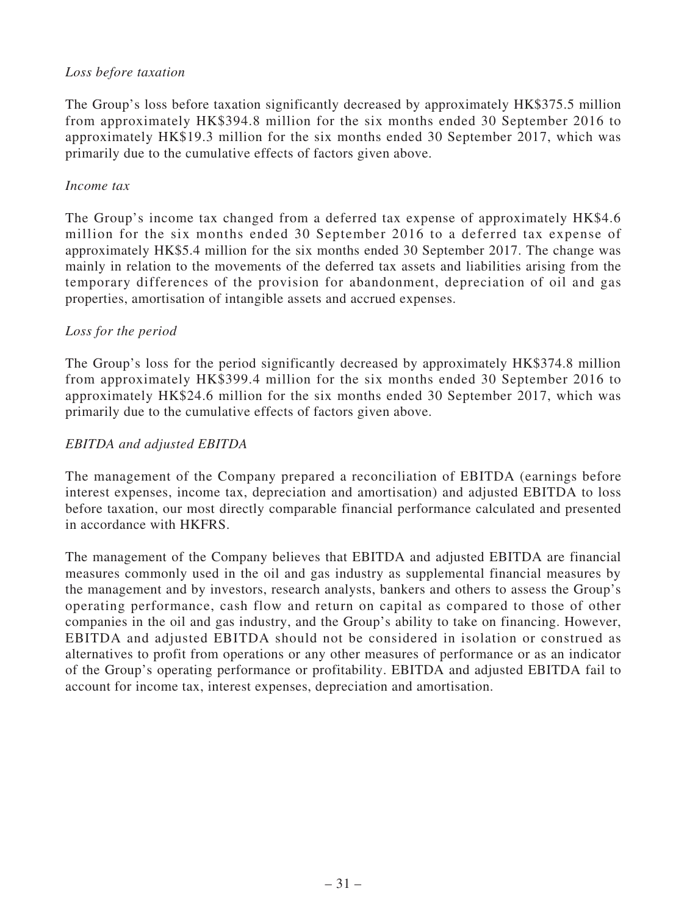## *Loss before taxation*

The Group's loss before taxation significantly decreased by approximately HK\$375.5 million from approximately HK\$394.8 million for the six months ended 30 September 2016 to approximately HK\$19.3 million for the six months ended 30 September 2017, which was primarily due to the cumulative effects of factors given above.

### *Income tax*

The Group's income tax changed from a deferred tax expense of approximately HK\$4.6 million for the six months ended 30 September 2016 to a deferred tax expense of approximately HK\$5.4 million for the six months ended 30 September 2017. The change was mainly in relation to the movements of the deferred tax assets and liabilities arising from the temporary differences of the provision for abandonment, depreciation of oil and gas properties, amortisation of intangible assets and accrued expenses.

## *Loss for the period*

The Group's loss for the period significantly decreased by approximately HK\$374.8 million from approximately HK\$399.4 million for the six months ended 30 September 2016 to approximately HK\$24.6 million for the six months ended 30 September 2017, which was primarily due to the cumulative effects of factors given above.

## *EBITDA and adjusted EBITDA*

The management of the Company prepared a reconciliation of EBITDA (earnings before interest expenses, income tax, depreciation and amortisation) and adjusted EBITDA to loss before taxation, our most directly comparable financial performance calculated and presented in accordance with HKFRS.

The management of the Company believes that EBITDA and adjusted EBITDA are financial measures commonly used in the oil and gas industry as supplemental financial measures by the management and by investors, research analysts, bankers and others to assess the Group's operating performance, cash flow and return on capital as compared to those of other companies in the oil and gas industry, and the Group's ability to take on financing. However, EBITDA and adjusted EBITDA should not be considered in isolation or construed as alternatives to profit from operations or any other measures of performance or as an indicator of the Group's operating performance or profitability. EBITDA and adjusted EBITDA fail to account for income tax, interest expenses, depreciation and amortisation.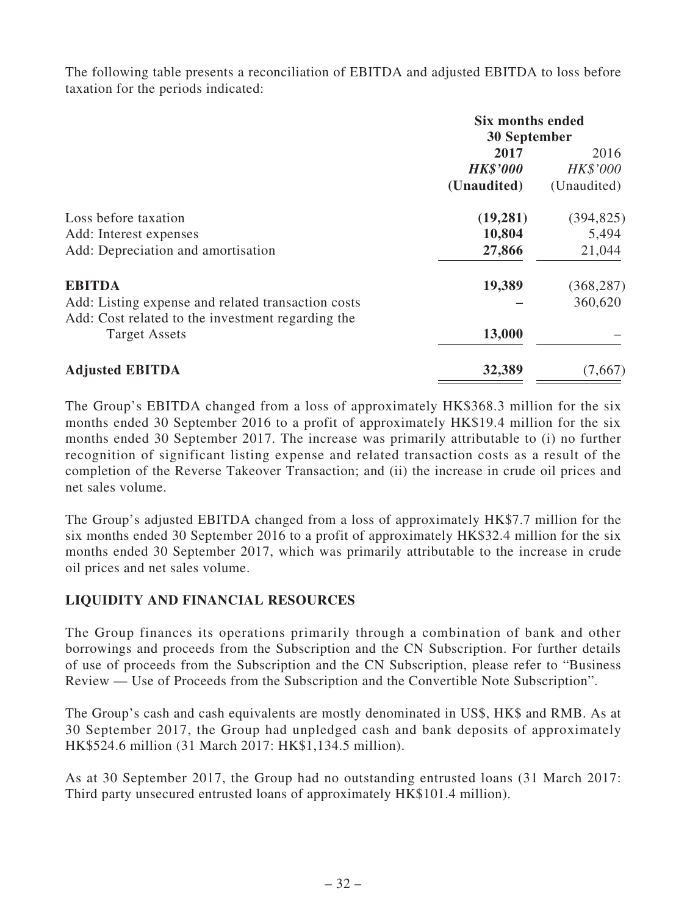The following table presents a reconciliation of EBITDA and adjusted EBITDA to loss before taxation for the periods indicated:

|                                                    | <b>Six months ended</b><br>30 September |             |  |
|----------------------------------------------------|-----------------------------------------|-------------|--|
|                                                    | 2017                                    | 2016        |  |
|                                                    | <b>HK\$'000</b>                         | HK\$'000    |  |
|                                                    | (Unaudited)                             | (Unaudited) |  |
| Loss before taxation                               | (19, 281)                               | (394, 825)  |  |
| Add: Interest expenses                             | 10,804                                  | 5,494       |  |
| Add: Depreciation and amortisation                 | 27,866                                  | 21,044      |  |
| <b>EBITDA</b>                                      | 19,389                                  | (368, 287)  |  |
| Add: Listing expense and related transaction costs |                                         | 360,620     |  |
| Add: Cost related to the investment regarding the  |                                         |             |  |
| <b>Target Assets</b>                               | 13,000                                  |             |  |
| <b>Adjusted EBITDA</b>                             | 32,389                                  | (7,667)     |  |

The Group's EBITDA changed from a loss of approximately HK\$368.3 million for the six months ended 30 September 2016 to a profit of approximately HK\$19.4 million for the six months ended 30 September 2017. The increase was primarily attributable to (i) no further recognition of significant listing expense and related transaction costs as a result of the completion of the Reverse Takeover Transaction; and (ii) the increase in crude oil prices and net sales volume.

The Group's adjusted EBITDA changed from a loss of approximately HK\$7.7 million for the six months ended 30 September 2016 to a profit of approximately HK\$32.4 million for the six months ended 30 September 2017, which was primarily attributable to the increase in crude oil prices and net sales volume.

## **LIQUIDITY AND FINANCIAL RESOURCES**

The Group finances its operations primarily through a combination of bank and other borrowings and proceeds from the Subscription and the CN Subscription. For further details of use of proceeds from the Subscription and the CN Subscription, please refer to "Business Review — Use of Proceeds from the Subscription and the Convertible Note Subscription".

The Group's cash and cash equivalents are mostly denominated in US\$, HK\$ and RMB. As at 30 September 2017, the Group had unpledged cash and bank deposits of approximately HK\$524.6 million (31 March 2017: HK\$1,134.5 million).

As at 30 September 2017, the Group had no outstanding entrusted loans (31 March 2017: Third party unsecured entrusted loans of approximately HK\$101.4 million).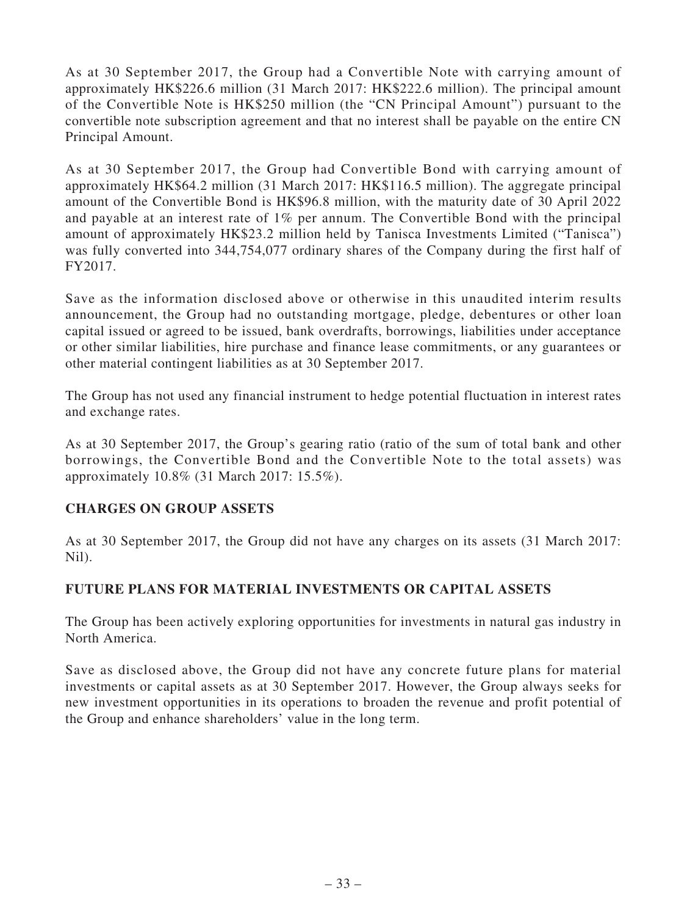As at 30 September 2017, the Group had a Convertible Note with carrying amount of approximately HK\$226.6 million (31 March 2017: HK\$222.6 million). The principal amount of the Convertible Note is HK\$250 million (the "CN Principal Amount") pursuant to the convertible note subscription agreement and that no interest shall be payable on the entire CN Principal Amount.

As at 30 September 2017, the Group had Convertible Bond with carrying amount of approximately HK\$64.2 million (31 March 2017: HK\$116.5 million). The aggregate principal amount of the Convertible Bond is HK\$96.8 million, with the maturity date of 30 April 2022 and payable at an interest rate of 1% per annum. The Convertible Bond with the principal amount of approximately HK\$23.2 million held by Tanisca Investments Limited ("Tanisca") was fully converted into 344,754,077 ordinary shares of the Company during the first half of FY2017.

Save as the information disclosed above or otherwise in this unaudited interim results announcement, the Group had no outstanding mortgage, pledge, debentures or other loan capital issued or agreed to be issued, bank overdrafts, borrowings, liabilities under acceptance or other similar liabilities, hire purchase and finance lease commitments, or any guarantees or other material contingent liabilities as at 30 September 2017.

The Group has not used any financial instrument to hedge potential fluctuation in interest rates and exchange rates.

As at 30 September 2017, the Group's gearing ratio (ratio of the sum of total bank and other borrowings, the Convertible Bond and the Convertible Note to the total assets) was approximately 10.8% (31 March 2017: 15.5%).

# **CHARGES ON GROUP ASSETS**

As at 30 September 2017, the Group did not have any charges on its assets (31 March 2017: Nil).

# **FUTURE PLANS FOR MATERIAL INVESTMENTS OR CAPITAL ASSETS**

The Group has been actively exploring opportunities for investments in natural gas industry in North America.

Save as disclosed above, the Group did not have any concrete future plans for material investments or capital assets as at 30 September 2017. However, the Group always seeks for new investment opportunities in its operations to broaden the revenue and profit potential of the Group and enhance shareholders' value in the long term.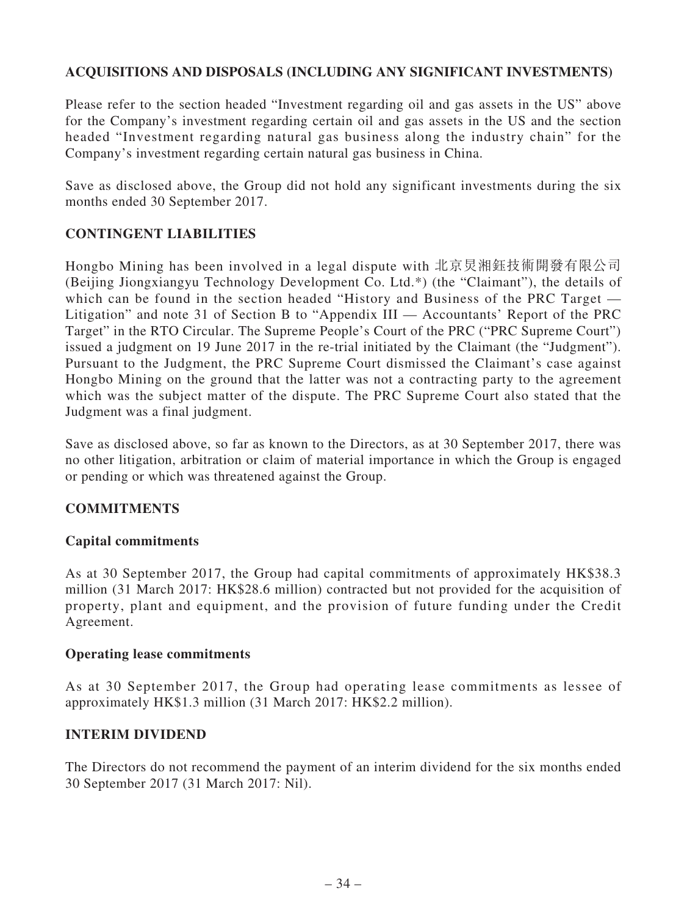# **ACQUISITIONS AND DISPOSALS (INCLUDING ANY SIGNIFICANT INVESTMENTS)**

Please refer to the section headed "Investment regarding oil and gas assets in the US" above for the Company's investment regarding certain oil and gas assets in the US and the section headed "Investment regarding natural gas business along the industry chain" for the Company's investment regarding certain natural gas business in China.

Save as disclosed above, the Group did not hold any significant investments during the six months ended 30 September 2017.

## **CONTINGENT LIABILITIES**

Hongbo Mining has been involved in a legal dispute with 北京炅湘鈺技術開發有限公司 (Beijing Jiongxiangyu Technology Development Co. Ltd.\*) (the "Claimant"), the details of which can be found in the section headed "History and Business of the PRC Target — Litigation" and note 31 of Section B to "Appendix III — Accountants' Report of the PRC Target" in the RTO Circular. The Supreme People's Court of the PRC ("PRC Supreme Court") issued a judgment on 19 June 2017 in the re-trial initiated by the Claimant (the "Judgment"). Pursuant to the Judgment, the PRC Supreme Court dismissed the Claimant's case against Hongbo Mining on the ground that the latter was not a contracting party to the agreement which was the subject matter of the dispute. The PRC Supreme Court also stated that the Judgment was a final judgment.

Save as disclosed above, so far as known to the Directors, as at 30 September 2017, there was no other litigation, arbitration or claim of material importance in which the Group is engaged or pending or which was threatened against the Group.

### **COMMITMENTS**

### **Capital commitments**

As at 30 September 2017, the Group had capital commitments of approximately HK\$38.3 million (31 March 2017: HK\$28.6 million) contracted but not provided for the acquisition of property, plant and equipment, and the provision of future funding under the Credit Agreement.

### **Operating lease commitments**

As at 30 September 2017, the Group had operating lease commitments as lessee of approximately HK\$1.3 million (31 March 2017: HK\$2.2 million).

### **INTERIM DIVIDEND**

The Directors do not recommend the payment of an interim dividend for the six months ended 30 September 2017 (31 March 2017: Nil).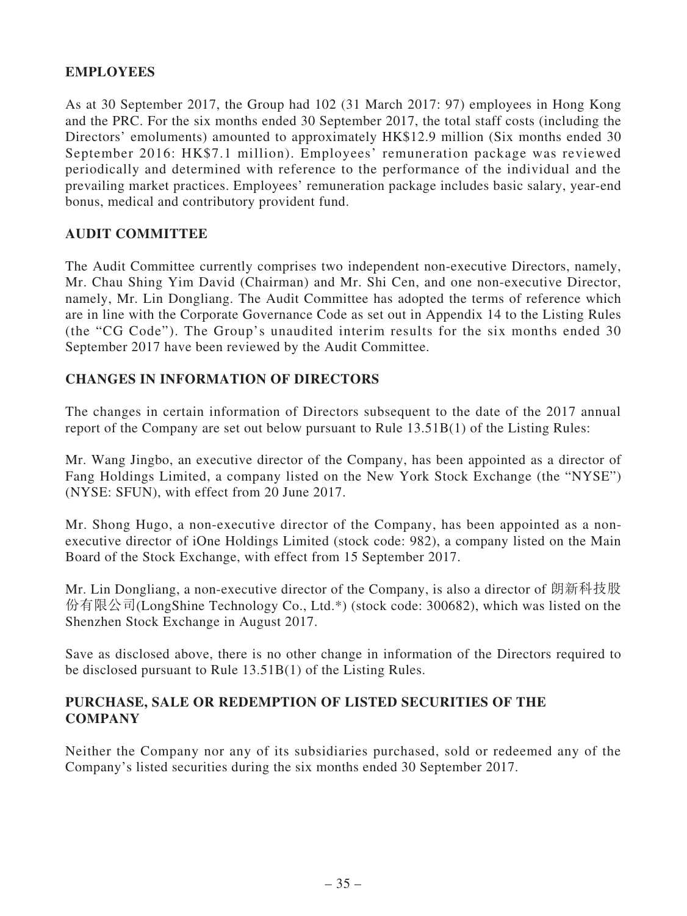## **EMPLOYEES**

As at 30 September 2017, the Group had 102 (31 March 2017: 97) employees in Hong Kong and the PRC. For the six months ended 30 September 2017, the total staff costs (including the Directors' emoluments) amounted to approximately HK\$12.9 million (Six months ended 30 September 2016: HK\$7.1 million). Employees' remuneration package was reviewed periodically and determined with reference to the performance of the individual and the prevailing market practices. Employees' remuneration package includes basic salary, year-end bonus, medical and contributory provident fund.

## **AUDIT COMMITTEE**

The Audit Committee currently comprises two independent non-executive Directors, namely, Mr. Chau Shing Yim David (Chairman) and Mr. Shi Cen, and one non-executive Director, namely, Mr. Lin Dongliang. The Audit Committee has adopted the terms of reference which are in line with the Corporate Governance Code as set out in Appendix 14 to the Listing Rules (the "CG Code"). The Group's unaudited interim results for the six months ended 30 September 2017 have been reviewed by the Audit Committee.

## **CHANGES IN INFORMATION OF DIRECTORS**

The changes in certain information of Directors subsequent to the date of the 2017 annual report of the Company are set out below pursuant to Rule 13.51B(1) of the Listing Rules:

Mr. Wang Jingbo, an executive director of the Company, has been appointed as a director of Fang Holdings Limited, a company listed on the New York Stock Exchange (the "NYSE") (NYSE: SFUN), with effect from 20 June 2017.

Mr. Shong Hugo, a non-executive director of the Company, has been appointed as a nonexecutive director of iOne Holdings Limited (stock code: 982), a company listed on the Main Board of the Stock Exchange, with effect from 15 September 2017.

Mr. Lin Dongliang, a non-executive director of the Company, is also a director of 朗新科技股 份有限公司(LongShine Technology Co., Ltd.\*) (stock code: 300682), which was listed on the Shenzhen Stock Exchange in August 2017.

Save as disclosed above, there is no other change in information of the Directors required to be disclosed pursuant to Rule 13.51B(1) of the Listing Rules.

## **PURCHASE, SALE OR REDEMPTION OF LISTED SECURITIES OF THE COMPANY**

Neither the Company nor any of its subsidiaries purchased, sold or redeemed any of the Company's listed securities during the six months ended 30 September 2017.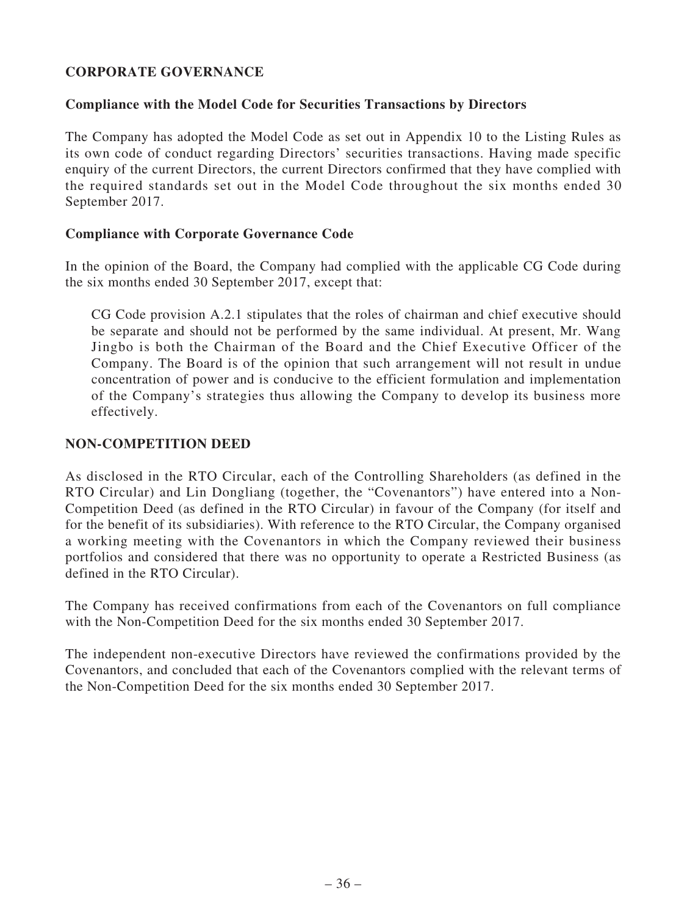# **CORPORATE GOVERNANCE**

## **Compliance with the Model Code for Securities Transactions by Directors**

The Company has adopted the Model Code as set out in Appendix 10 to the Listing Rules as its own code of conduct regarding Directors' securities transactions. Having made specific enquiry of the current Directors, the current Directors confirmed that they have complied with the required standards set out in the Model Code throughout the six months ended 30 September 2017.

## **Compliance with Corporate Governance Code**

In the opinion of the Board, the Company had complied with the applicable CG Code during the six months ended 30 September 2017, except that:

CG Code provision A.2.1 stipulates that the roles of chairman and chief executive should be separate and should not be performed by the same individual. At present, Mr. Wang Jingbo is both the Chairman of the Board and the Chief Executive Officer of the Company. The Board is of the opinion that such arrangement will not result in undue concentration of power and is conducive to the efficient formulation and implementation of the Company's strategies thus allowing the Company to develop its business more effectively.

## **NON-COMPETITION DEED**

As disclosed in the RTO Circular, each of the Controlling Shareholders (as defined in the RTO Circular) and Lin Dongliang (together, the "Covenantors") have entered into a Non-Competition Deed (as defined in the RTO Circular) in favour of the Company (for itself and for the benefit of its subsidiaries). With reference to the RTO Circular, the Company organised a working meeting with the Covenantors in which the Company reviewed their business portfolios and considered that there was no opportunity to operate a Restricted Business (as defined in the RTO Circular).

The Company has received confirmations from each of the Covenantors on full compliance with the Non-Competition Deed for the six months ended 30 September 2017.

The independent non-executive Directors have reviewed the confirmations provided by the Covenantors, and concluded that each of the Covenantors complied with the relevant terms of the Non-Competition Deed for the six months ended 30 September 2017.